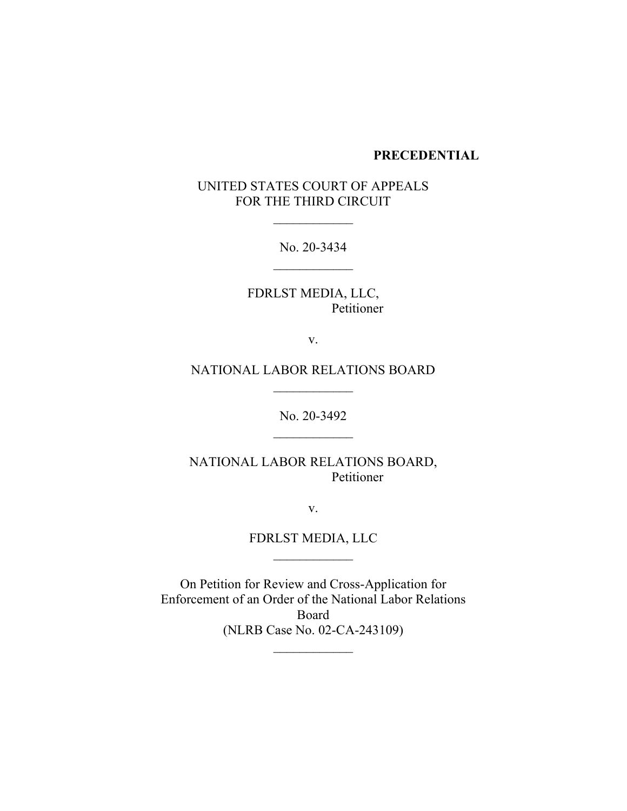#### **PRECEDENTIAL**

# UNITED STATES COURT OF APPEALS FOR THE THIRD CIRCUIT

No. 20-3434

\_\_\_\_\_\_\_\_\_\_\_\_

FDRLST MEDIA, LLC, Petitioner

v.

NATIONAL LABOR RELATIONS BOARD

 $\frac{1}{2}$ 

 $\overline{\phantom{a}}$ 

No. 20-3492

NATIONAL LABOR RELATIONS BOARD, Petitioner

v.

FDRLST MEDIA, LLC  $\frac{1}{2}$  ,  $\frac{1}{2}$  ,  $\frac{1}{2}$  ,  $\frac{1}{2}$  ,  $\frac{1}{2}$  ,  $\frac{1}{2}$  ,  $\frac{1}{2}$ 

On Petition for Review and Cross-Application for Enforcement of an Order of the National Labor Relations Board (NLRB Case No. 02-CA-243109)

 $\frac{1}{2}$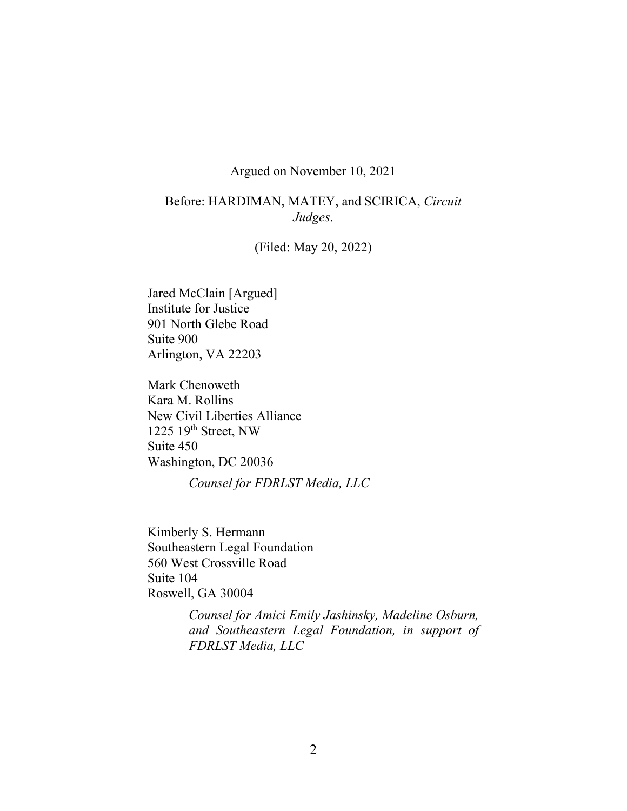## Argued on November 10, 2021

# Before: HARDIMAN, MATEY, and SCIRICA, *Circuit Judges*.

(Filed: May 20, 2022)

Jared McClain [Argued] Institute for Justice 901 North Glebe Road Suite 900 Arlington, VA 22203

Mark Chenoweth Kara M. Rollins New Civil Liberties Alliance 1225 19th Street, NW Suite 450 Washington, DC 20036

*Counsel for FDRLST Media, LLC*

Kimberly S. Hermann Southeastern Legal Foundation 560 West Crossville Road Suite 104 Roswell, GA 30004

> *Counsel for Amici Emily Jashinsky, Madeline Osburn, and Southeastern Legal Foundation, in support of FDRLST Media, LLC*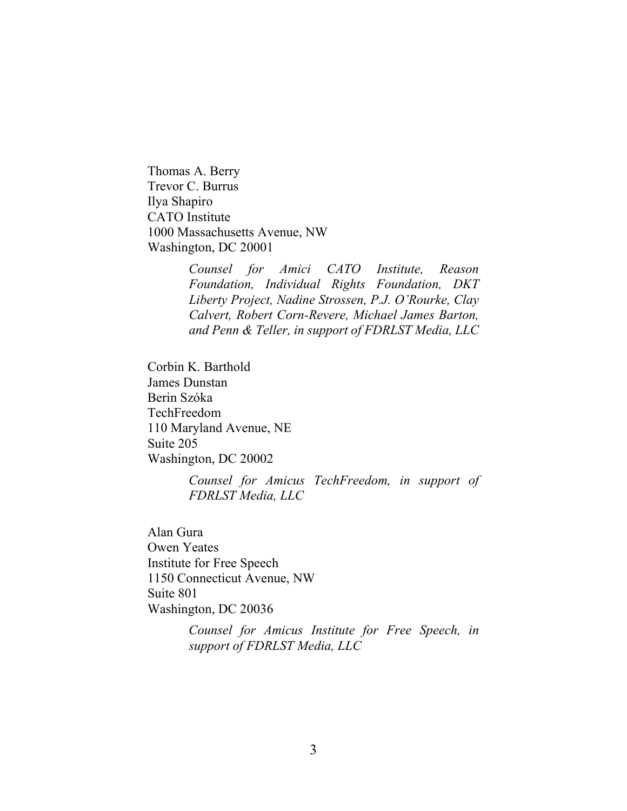Thomas A. Berry Trevor C. Burrus Ilya Shapiro CATO Institute 1000 Massachusetts Avenue, NW Washington, DC 20001

> *Counsel for Amici CATO Institute, Reason Foundation, Individual Rights Foundation, DKT Liberty Project, Nadine Strossen, P.J. O'Rourke, Clay Calvert, Robert Corn-Revere, Michael James Barton, and Penn & Teller, in support of FDRLST Media, LLC*

Corbin K. Barthold James Dunstan Berin Szóka TechFreedom 110 Maryland Avenue, NE Suite 205 Washington, DC 20002

> *Counsel for Amicus TechFreedom, in support of FDRLST Media, LLC*

Alan Gura Owen Yeates Institute for Free Speech 1150 Connecticut Avenue, NW Suite 801 Washington, DC 20036

> *Counsel for Amicus Institute for Free Speech, in support of FDRLST Media, LLC*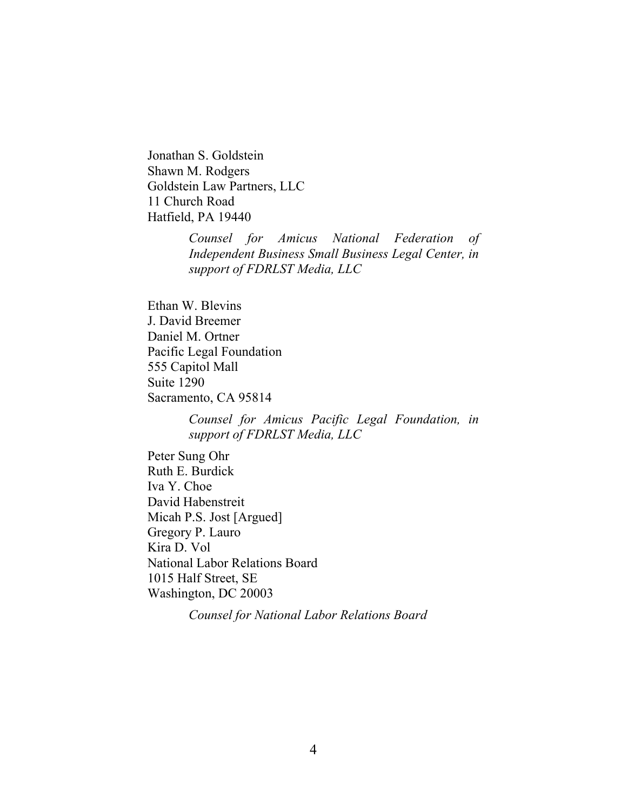Jonathan S. Goldstein Shawn M. Rodgers Goldstein Law Partners, LLC 11 Church Road Hatfield, PA 19440

> *Counsel for Amicus National Federation of Independent Business Small Business Legal Center, in support of FDRLST Media, LLC*

Ethan W. Blevins J. David Breemer Daniel M. Ortner Pacific Legal Foundation 555 Capitol Mall Suite 1290 Sacramento, CA 95814

> *Counsel for Amicus Pacific Legal Foundation, in support of FDRLST Media, LLC*

Peter Sung Ohr Ruth E. Burdick Iva Y. Choe David Habenstreit Micah P.S. Jost [Argued] Gregory P. Lauro Kira D. Vol National Labor Relations Board 1015 Half Street, SE Washington, DC 20003

*Counsel for National Labor Relations Board*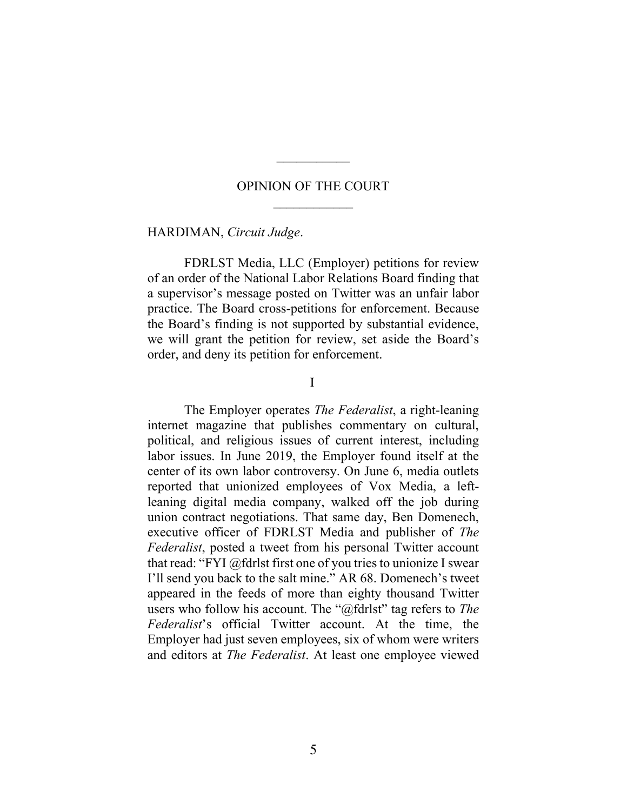### OPINION OF THE COURT

 $\mathcal{L}_\text{max}$ 

HARDIMAN, *Circuit Judge*.

FDRLST Media, LLC (Employer) petitions for review of an order of the National Labor Relations Board finding that a supervisor's message posted on Twitter was an unfair labor practice. The Board cross-petitions for enforcement. Because the Board's finding is not supported by substantial evidence, we will grant the petition for review, set aside the Board's order, and deny its petition for enforcement.

I

The Employer operates *The Federalist*, a right-leaning internet magazine that publishes commentary on cultural, political, and religious issues of current interest, including labor issues. In June 2019, the Employer found itself at the center of its own labor controversy. On June 6, media outlets reported that unionized employees of Vox Media, a leftleaning digital media company, walked off the job during union contract negotiations. That same day, Ben Domenech, executive officer of FDRLST Media and publisher of *The Federalist*, posted a tweet from his personal Twitter account that read: "FYI @fdrlst first one of you tries to unionize I swear I'll send you back to the salt mine." AR 68. Domenech's tweet appeared in the feeds of more than eighty thousand Twitter users who follow his account. The "@fdrlst" tag refers to *The Federalist*'s official Twitter account. At the time, the Employer had just seven employees, six of whom were writers and editors at *The Federalist*. At least one employee viewed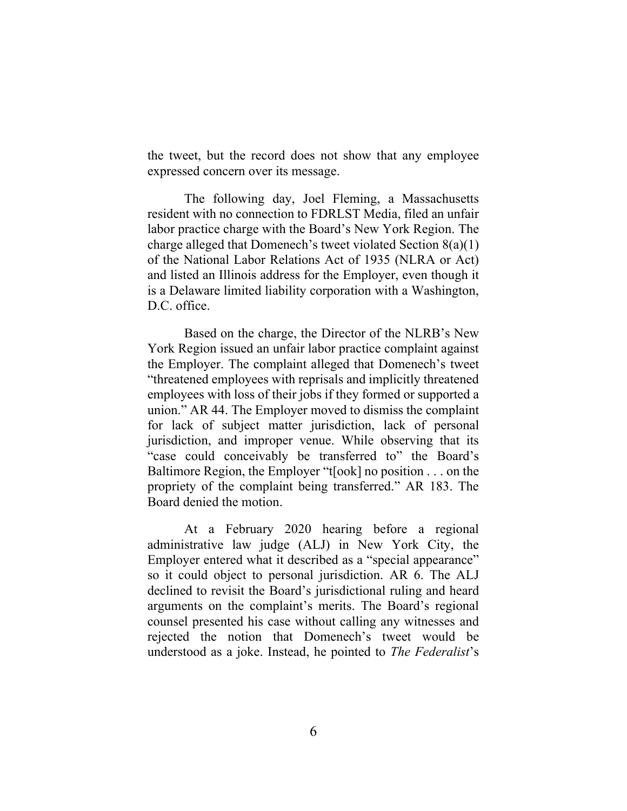the tweet, but the record does not show that any employee expressed concern over its message.

The following day, Joel Fleming, a Massachusetts resident with no connection to FDRLST Media, filed an unfair labor practice charge with the Board's New York Region. The charge alleged that Domenech's tweet violated Section 8(a)(1) of the National Labor Relations Act of 1935 (NLRA or Act) and listed an Illinois address for the Employer, even though it is a Delaware limited liability corporation with a Washington, D.C. office.

Based on the charge, the Director of the NLRB's New York Region issued an unfair labor practice complaint against the Employer. The complaint alleged that Domenech's tweet "threatened employees with reprisals and implicitly threatened employees with loss of their jobs if they formed or supported a union." AR 44. The Employer moved to dismiss the complaint for lack of subject matter jurisdiction, lack of personal jurisdiction, and improper venue. While observing that its "case could conceivably be transferred to" the Board's Baltimore Region, the Employer "t[ook] no position . . . on the propriety of the complaint being transferred." AR 183. The Board denied the motion.

At a February 2020 hearing before a regional administrative law judge (ALJ) in New York City, the Employer entered what it described as a "special appearance" so it could object to personal jurisdiction. AR 6. The ALJ declined to revisit the Board's jurisdictional ruling and heard arguments on the complaint's merits. The Board's regional counsel presented his case without calling any witnesses and rejected the notion that Domenech's tweet would be understood as a joke. Instead, he pointed to *The Federalist*'s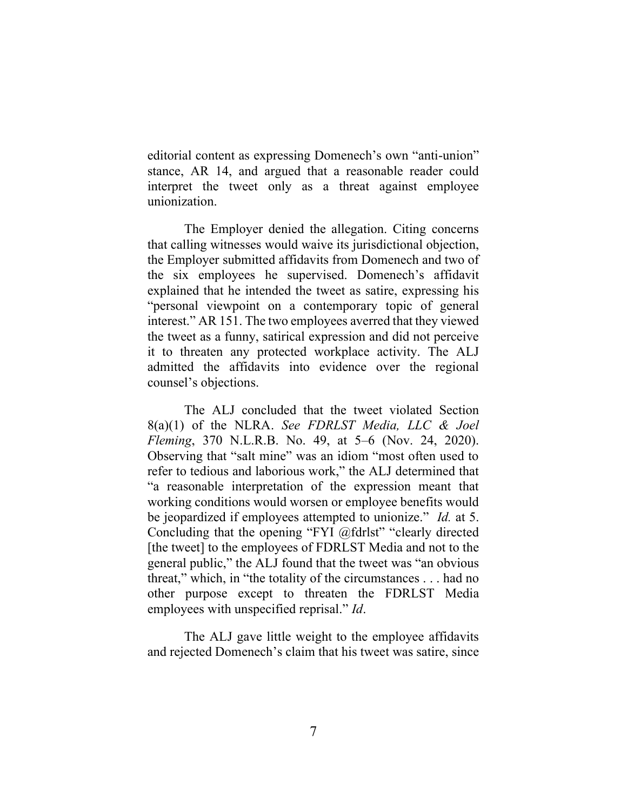editorial content as expressing Domenech's own "anti-union" stance, AR 14, and argued that a reasonable reader could interpret the tweet only as a threat against employee unionization.

The Employer denied the allegation. Citing concerns that calling witnesses would waive its jurisdictional objection, the Employer submitted affidavits from Domenech and two of the six employees he supervised. Domenech's affidavit explained that he intended the tweet as satire, expressing his "personal viewpoint on a contemporary topic of general interest." AR 151. The two employees averred that they viewed the tweet as a funny, satirical expression and did not perceive it to threaten any protected workplace activity. The ALJ admitted the affidavits into evidence over the regional counsel's objections.

The ALJ concluded that the tweet violated Section 8(a)(1) of the NLRA. *See FDRLST Media, LLC & Joel Fleming*, 370 N.L.R.B. No. 49, at 5–6 (Nov. 24, 2020). Observing that "salt mine" was an idiom "most often used to refer to tedious and laborious work," the ALJ determined that "a reasonable interpretation of the expression meant that working conditions would worsen or employee benefits would be jeopardized if employees attempted to unionize." *Id.* at 5. Concluding that the opening "FYI @fdrlst" "clearly directed [the tweet] to the employees of FDRLST Media and not to the general public," the ALJ found that the tweet was "an obvious threat," which, in "the totality of the circumstances . . . had no other purpose except to threaten the FDRLST Media employees with unspecified reprisal." *Id*.

The ALJ gave little weight to the employee affidavits and rejected Domenech's claim that his tweet was satire, since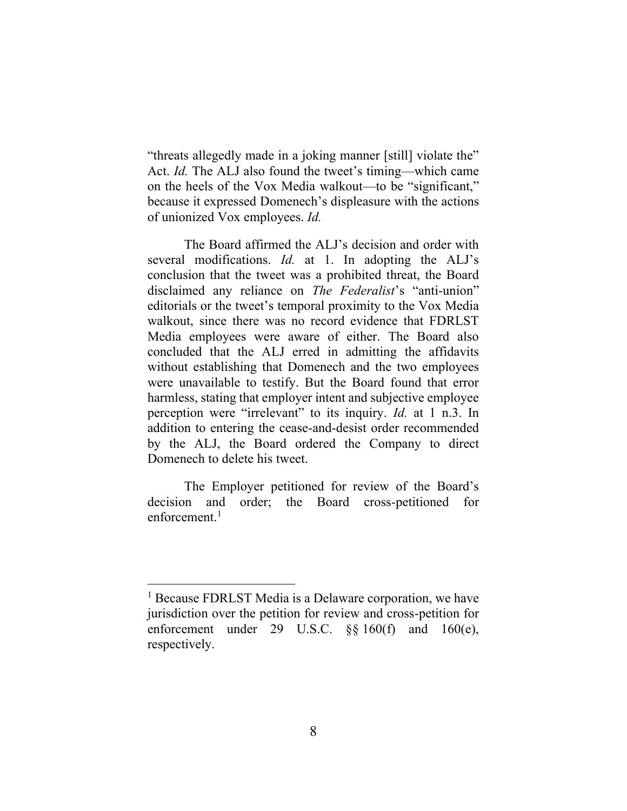"threats allegedly made in a joking manner [still] violate the" Act. *Id.* The ALJ also found the tweet's timing—which came on the heels of the Vox Media walkout—to be "significant," because it expressed Domenech's displeasure with the actions of unionized Vox employees. *Id.*

The Board affirmed the ALJ's decision and order with several modifications. *Id.* at 1. In adopting the ALJ's conclusion that the tweet was a prohibited threat, the Board disclaimed any reliance on *The Federalist*'s "anti-union" editorials or the tweet's temporal proximity to the Vox Media walkout, since there was no record evidence that FDRLST Media employees were aware of either. The Board also concluded that the ALJ erred in admitting the affidavits without establishing that Domenech and the two employees were unavailable to testify. But the Board found that error harmless, stating that employer intent and subjective employee perception were "irrelevant" to its inquiry. *Id.* at 1 n.3. In addition to entering the cease-and-desist order recommended by the ALJ, the Board ordered the Company to direct Domenech to delete his tweet.

The Employer petitioned for review of the Board's decision and order; the Board cross-petitioned for enforcement. $1$ 

<sup>&</sup>lt;sup>1</sup> Because FDRLST Media is a Delaware corporation, we have jurisdiction over the petition for review and cross-petition for enforcement under 29 U.S.C. §§ 160(f) and 160(e), respectively.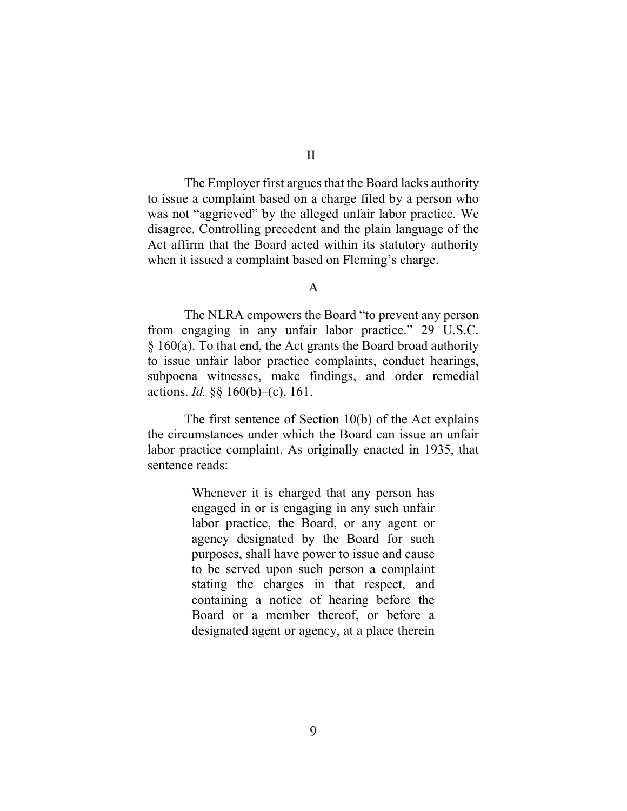The Employer first argues that the Board lacks authority to issue a complaint based on a charge filed by a person who was not "aggrieved" by the alleged unfair labor practice. We disagree. Controlling precedent and the plain language of the Act affirm that the Board acted within its statutory authority when it issued a complaint based on Fleming's charge.

A

The NLRA empowers the Board "to prevent any person from engaging in any unfair labor practice." 29 U.S.C. § 160(a). To that end, the Act grants the Board broad authority to issue unfair labor practice complaints, conduct hearings, subpoena witnesses, make findings, and order remedial actions. *Id.* §§ 160(b)–(c), 161.

The first sentence of Section 10(b) of the Act explains the circumstances under which the Board can issue an unfair labor practice complaint. As originally enacted in 1935, that sentence reads:

> Whenever it is charged that any person has engaged in or is engaging in any such unfair labor practice, the Board, or any agent or agency designated by the Board for such purposes, shall have power to issue and cause to be served upon such person a complaint stating the charges in that respect, and containing a notice of hearing before the Board or a member thereof, or before a designated agent or agency, at a place therein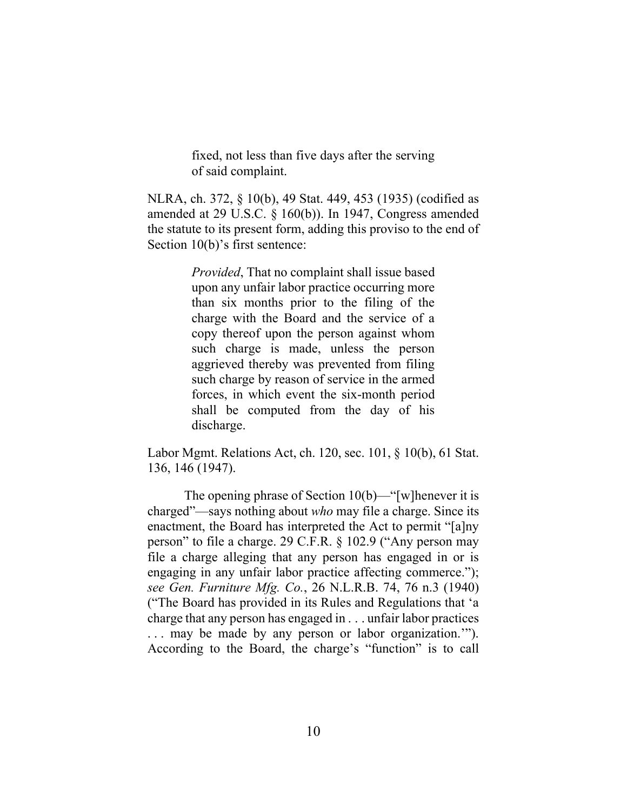fixed, not less than five days after the serving of said complaint.

NLRA, ch. 372, § 10(b), 49 Stat. 449, 453 (1935) (codified as amended at 29 U.S.C. § 160(b)). In 1947, Congress amended the statute to its present form, adding this proviso to the end of Section 10(b)'s first sentence:

> *Provided*, That no complaint shall issue based upon any unfair labor practice occurring more than six months prior to the filing of the charge with the Board and the service of a copy thereof upon the person against whom such charge is made, unless the person aggrieved thereby was prevented from filing such charge by reason of service in the armed forces, in which event the six-month period shall be computed from the day of his discharge.

Labor Mgmt. Relations Act, ch. 120, sec. 101, § 10(b), 61 Stat. 136, 146 (1947).

The opening phrase of Section  $10(b)$ —"[w]henever it is charged"—says nothing about *who* may file a charge. Since its enactment, the Board has interpreted the Act to permit "[a]ny person" to file a charge. 29 C.F.R. § 102.9 ("Any person may file a charge alleging that any person has engaged in or is engaging in any unfair labor practice affecting commerce."); *see Gen. Furniture Mfg. Co.*, 26 N.L.R.B. 74, 76 n.3 (1940) ("The Board has provided in its Rules and Regulations that 'a charge that any person has engaged in . . . unfair labor practices . . . may be made by any person or labor organization.'"). According to the Board, the charge's "function" is to call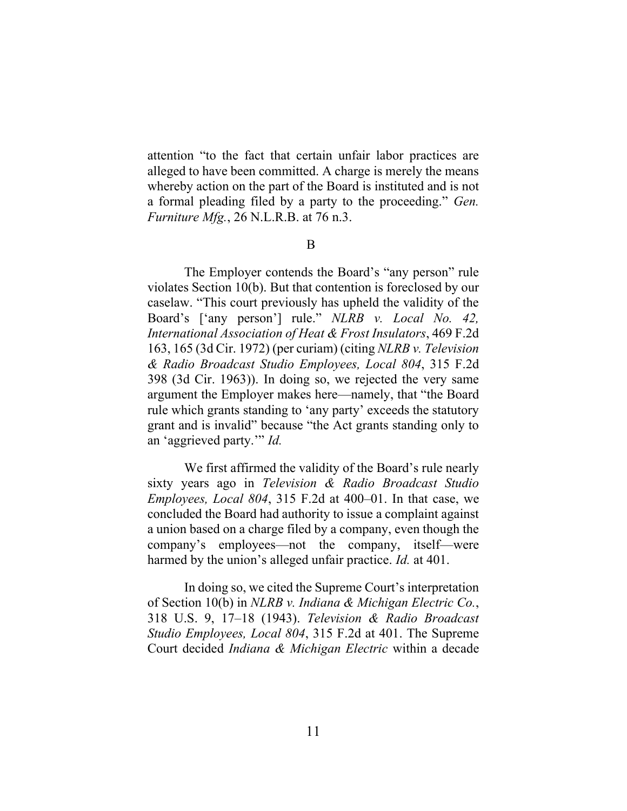attention "to the fact that certain unfair labor practices are alleged to have been committed. A charge is merely the means whereby action on the part of the Board is instituted and is not a formal pleading filed by a party to the proceeding." *Gen. Furniture Mfg.*, 26 N.L.R.B. at 76 n.3.

B

The Employer contends the Board's "any person" rule violates Section 10(b). But that contention is foreclosed by our caselaw. "This court previously has upheld the validity of the Board's ['any person'] rule." *NLRB v. Local No. 42, International Association of Heat & Frost Insulators*, 469 F.2d 163, 165 (3d Cir. 1972) (per curiam) (citing *NLRB v. Television & Radio Broadcast Studio Employees, Local 804*, 315 F.2d 398 (3d Cir. 1963)). In doing so, we rejected the very same argument the Employer makes here—namely, that "the Board rule which grants standing to 'any party' exceeds the statutory grant and is invalid" because "the Act grants standing only to an 'aggrieved party.'" *Id.*

We first affirmed the validity of the Board's rule nearly sixty years ago in *Television & Radio Broadcast Studio Employees, Local 804*, 315 F.2d at 400–01. In that case, we concluded the Board had authority to issue a complaint against a union based on a charge filed by a company, even though the company's employees—not the company, itself—were harmed by the union's alleged unfair practice. *Id.* at 401.

In doing so, we cited the Supreme Court's interpretation of Section 10(b) in *NLRB v. Indiana & Michigan Electric Co.*, 318 U.S. 9, 17–18 (1943). *Television & Radio Broadcast Studio Employees, Local 804*, 315 F.2d at 401. The Supreme Court decided *Indiana & Michigan Electric* within a decade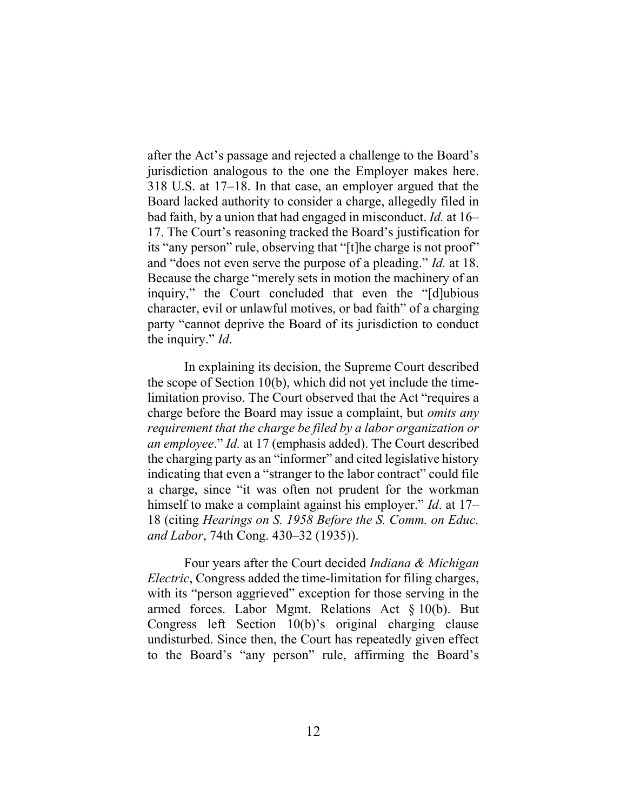after the Act's passage and rejected a challenge to the Board's jurisdiction analogous to the one the Employer makes here. 318 U.S. at 17–18. In that case, an employer argued that the Board lacked authority to consider a charge, allegedly filed in bad faith, by a union that had engaged in misconduct. *Id.* at 16– 17. The Court's reasoning tracked the Board's justification for its "any person" rule, observing that "[t]he charge is not proof" and "does not even serve the purpose of a pleading." *Id.* at 18. Because the charge "merely sets in motion the machinery of an inquiry," the Court concluded that even the "[d]ubious character, evil or unlawful motives, or bad faith" of a charging party "cannot deprive the Board of its jurisdiction to conduct the inquiry." *Id*.

In explaining its decision, the Supreme Court described the scope of Section 10(b), which did not yet include the timelimitation proviso. The Court observed that the Act "requires a charge before the Board may issue a complaint, but *omits any requirement that the charge be filed by a labor organization or an employee*." *Id.* at 17 (emphasis added). The Court described the charging party as an "informer" and cited legislative history indicating that even a "stranger to the labor contract" could file a charge, since "it was often not prudent for the workman himself to make a complaint against his employer." *Id*. at 17– 18 (citing *Hearings on S. 1958 Before the S. Comm. on Educ. and Labor*, 74th Cong. 430–32 (1935)).

Four years after the Court decided *Indiana & Michigan Electric*, Congress added the time-limitation for filing charges, with its "person aggrieved" exception for those serving in the armed forces. Labor Mgmt. Relations Act § 10(b). But Congress left Section 10(b)'s original charging clause undisturbed. Since then, the Court has repeatedly given effect to the Board's "any person" rule, affirming the Board's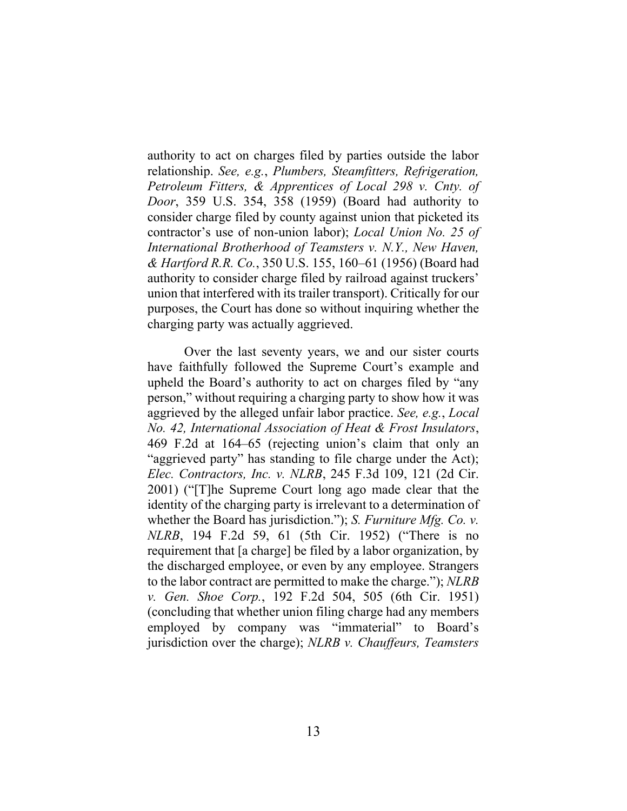authority to act on charges filed by parties outside the labor relationship. *See, e.g.*, *Plumbers, Steamfitters, Refrigeration, Petroleum Fitters, & Apprentices of Local 298 v. Cnty. of Door*, 359 U.S. 354, 358 (1959) (Board had authority to consider charge filed by county against union that picketed its contractor's use of non-union labor); *Local Union No. 25 of International Brotherhood of Teamsters v. N.Y., New Haven, & Hartford R.R. Co.*, 350 U.S. 155, 160–61 (1956) (Board had authority to consider charge filed by railroad against truckers' union that interfered with its trailer transport). Critically for our purposes, the Court has done so without inquiring whether the charging party was actually aggrieved.

Over the last seventy years, we and our sister courts have faithfully followed the Supreme Court's example and upheld the Board's authority to act on charges filed by "any person," without requiring a charging party to show how it was aggrieved by the alleged unfair labor practice. *See, e.g.*, *Local No. 42, International Association of Heat & Frost Insulators*, 469 F.2d at 164–65 (rejecting union's claim that only an "aggrieved party" has standing to file charge under the Act); *Elec. Contractors, Inc. v. NLRB*, 245 F.3d 109, 121 (2d Cir. 2001) ("[T]he Supreme Court long ago made clear that the identity of the charging party is irrelevant to a determination of whether the Board has jurisdiction."); *S. Furniture Mfg. Co. v. NLRB*, 194 F.2d 59, 61 (5th Cir. 1952) ("There is no requirement that [a charge] be filed by a labor organization, by the discharged employee, or even by any employee. Strangers to the labor contract are permitted to make the charge."); *NLRB v. Gen. Shoe Corp.*, 192 F.2d 504, 505 (6th Cir. 1951) (concluding that whether union filing charge had any members employed by company was "immaterial" to Board's jurisdiction over the charge); *NLRB v. Chauffeurs, Teamsters*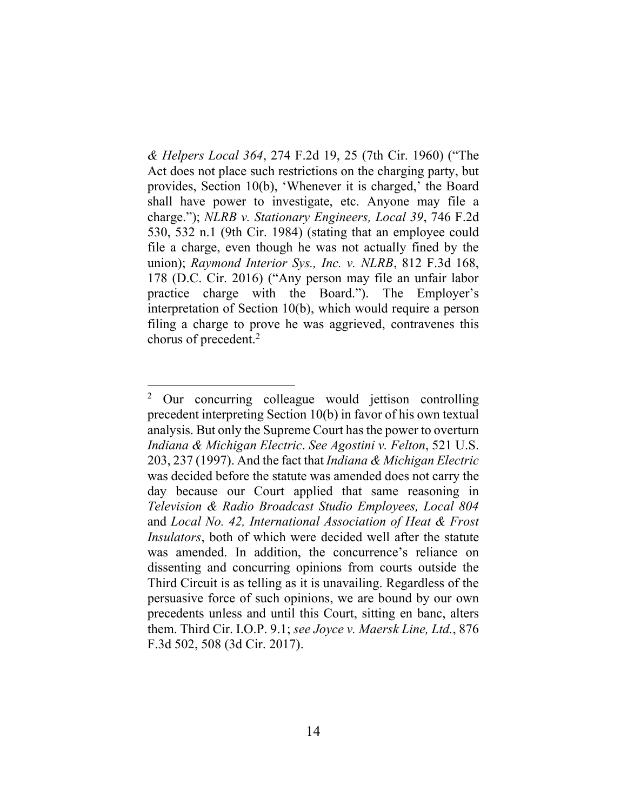*& Helpers Local 364*, 274 F.2d 19, 25 (7th Cir. 1960) ("The Act does not place such restrictions on the charging party, but provides, Section 10(b), 'Whenever it is charged,' the Board shall have power to investigate, etc. Anyone may file a charge."); *NLRB v. Stationary Engineers, Local 39*, 746 F.2d 530, 532 n.1 (9th Cir. 1984) (stating that an employee could file a charge, even though he was not actually fined by the union); *Raymond Interior Sys., Inc. v. NLRB*, 812 F.3d 168, 178 (D.C. Cir. 2016) ("Any person may file an unfair labor practice charge with the Board."). The Employer's interpretation of Section 10(b), which would require a person filing a charge to prove he was aggrieved, contravenes this chorus of precedent.<sup>2</sup>

<sup>2</sup> Our concurring colleague would jettison controlling precedent interpreting Section 10(b) in favor of his own textual analysis. But only the Supreme Court has the power to overturn *Indiana & Michigan Electric*. *See Agostini v. Felton*, 521 U.S. 203, 237 (1997). And the fact that *Indiana & Michigan Electric* was decided before the statute was amended does not carry the day because our Court applied that same reasoning in *Television & Radio Broadcast Studio Employees, Local 804*  and *Local No. 42, International Association of Heat & Frost Insulators*, both of which were decided well after the statute was amended. In addition, the concurrence's reliance on dissenting and concurring opinions from courts outside the Third Circuit is as telling as it is unavailing. Regardless of the persuasive force of such opinions, we are bound by our own precedents unless and until this Court, sitting en banc, alters them. Third Cir. I.O.P. 9.1; *see Joyce v. Maersk Line, Ltd.*, 876 F.3d 502, 508 (3d Cir. 2017).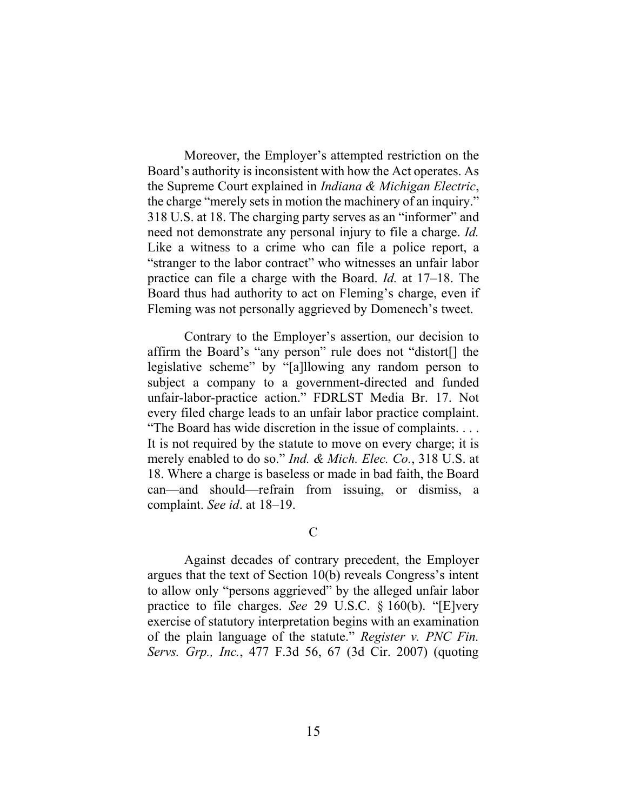Moreover, the Employer's attempted restriction on the Board's authority is inconsistent with how the Act operates. As the Supreme Court explained in *Indiana & Michigan Electric*, the charge "merely sets in motion the machinery of an inquiry." 318 U.S. at 18. The charging party serves as an "informer" and need not demonstrate any personal injury to file a charge. *Id.* Like a witness to a crime who can file a police report, a "stranger to the labor contract" who witnesses an unfair labor practice can file a charge with the Board. *Id.* at 17–18. The Board thus had authority to act on Fleming's charge, even if Fleming was not personally aggrieved by Domenech's tweet.

Contrary to the Employer's assertion, our decision to affirm the Board's "any person" rule does not "distort[] the legislative scheme" by "[a]llowing any random person to subject a company to a government-directed and funded unfair-labor-practice action." FDRLST Media Br. 17. Not every filed charge leads to an unfair labor practice complaint. "The Board has wide discretion in the issue of complaints. . . . It is not required by the statute to move on every charge; it is merely enabled to do so." *Ind. & Mich. Elec. Co.*, 318 U.S. at 18. Where a charge is baseless or made in bad faith, the Board can—and should—refrain from issuing, or dismiss, a complaint. *See id*. at 18–19.

 $\mathcal{C}$ 

Against decades of contrary precedent, the Employer argues that the text of Section 10(b) reveals Congress's intent to allow only "persons aggrieved" by the alleged unfair labor practice to file charges. *See* 29 U.S.C. § 160(b). "[E]very exercise of statutory interpretation begins with an examination of the plain language of the statute." *Register v. PNC Fin. Servs. Grp., Inc.*, 477 F.3d 56, 67 (3d Cir. 2007) (quoting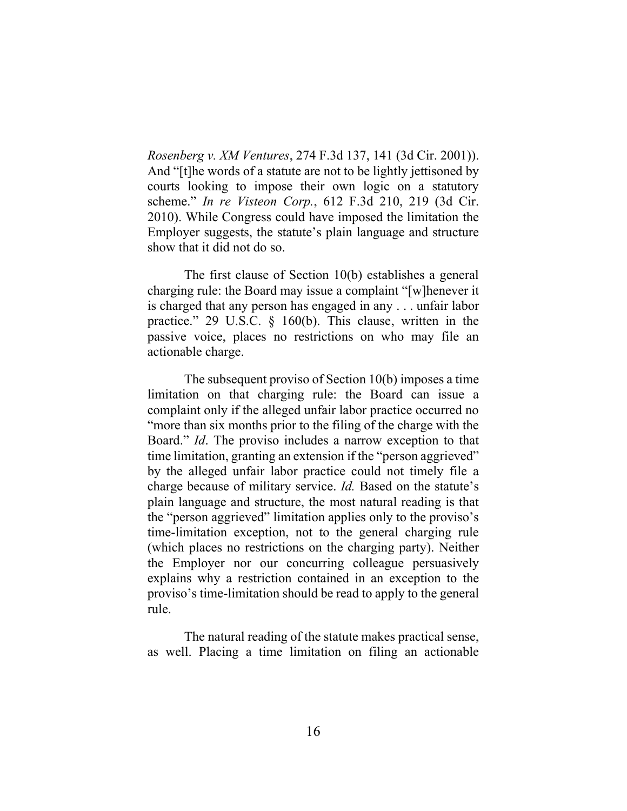*Rosenberg v. XM Ventures*, 274 F.3d 137, 141 (3d Cir. 2001)). And "[t]he words of a statute are not to be lightly jettisoned by courts looking to impose their own logic on a statutory scheme." *In re Visteon Corp.*, 612 F.3d 210, 219 (3d Cir. 2010). While Congress could have imposed the limitation the Employer suggests, the statute's plain language and structure show that it did not do so.

The first clause of Section 10(b) establishes a general charging rule: the Board may issue a complaint "[w]henever it is charged that any person has engaged in any . . . unfair labor practice." 29 U.S.C. § 160(b). This clause, written in the passive voice, places no restrictions on who may file an actionable charge.

The subsequent proviso of Section 10(b) imposes a time limitation on that charging rule: the Board can issue a complaint only if the alleged unfair labor practice occurred no "more than six months prior to the filing of the charge with the Board." *Id*. The proviso includes a narrow exception to that time limitation, granting an extension if the "person aggrieved" by the alleged unfair labor practice could not timely file a charge because of military service. *Id.* Based on the statute's plain language and structure, the most natural reading is that the "person aggrieved" limitation applies only to the proviso's time-limitation exception, not to the general charging rule (which places no restrictions on the charging party). Neither the Employer nor our concurring colleague persuasively explains why a restriction contained in an exception to the proviso's time-limitation should be read to apply to the general rule.

The natural reading of the statute makes practical sense, as well. Placing a time limitation on filing an actionable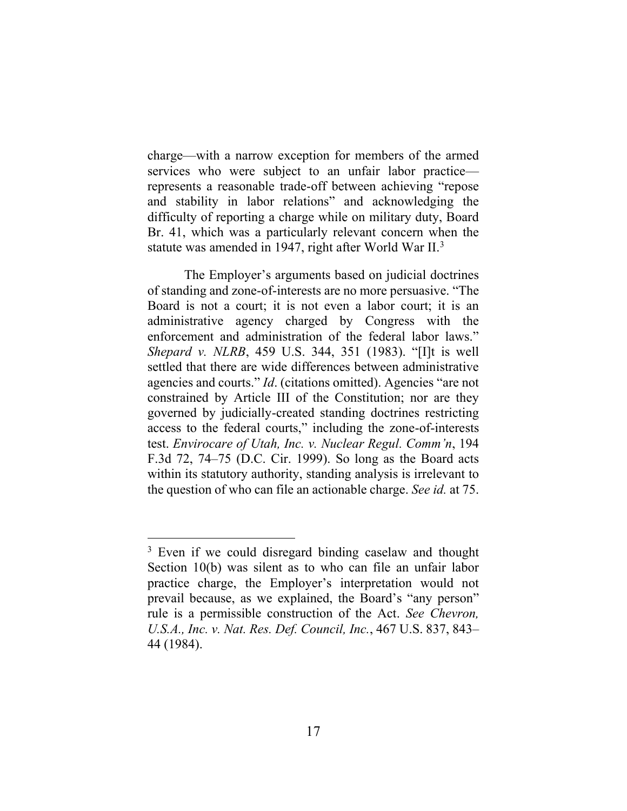charge—with a narrow exception for members of the armed services who were subject to an unfair labor practice represents a reasonable trade-off between achieving "repose and stability in labor relations" and acknowledging the difficulty of reporting a charge while on military duty, Board Br. 41, which was a particularly relevant concern when the statute was amended in 1947, right after World War  $II<sup>3</sup>$ .

The Employer's arguments based on judicial doctrines of standing and zone-of-interests are no more persuasive. "The Board is not a court; it is not even a labor court; it is an administrative agency charged by Congress with the enforcement and administration of the federal labor laws." *Shepard v. NLRB*, 459 U.S. 344, 351 (1983). "[I]t is well settled that there are wide differences between administrative agencies and courts." *Id*. (citations omitted). Agencies "are not constrained by Article III of the Constitution; nor are they governed by judicially-created standing doctrines restricting access to the federal courts," including the zone-of-interests test. *Envirocare of Utah, Inc. v. Nuclear Regul. Comm'n*, 194 F.3d 72, 74–75 (D.C. Cir. 1999). So long as the Board acts within its statutory authority, standing analysis is irrelevant to the question of who can file an actionable charge. *See id.* at 75.

<sup>&</sup>lt;sup>3</sup> Even if we could disregard binding caselaw and thought Section 10(b) was silent as to who can file an unfair labor practice charge, the Employer's interpretation would not prevail because, as we explained, the Board's "any person" rule is a permissible construction of the Act. *See Chevron, U.S.A., Inc. v. Nat. Res. Def. Council, Inc.*, 467 U.S. 837, 843– 44 (1984).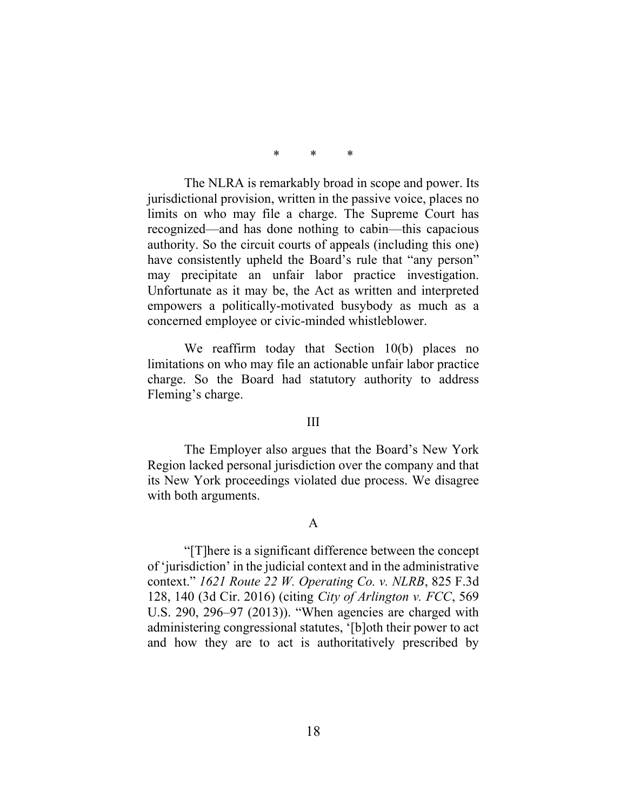The NLRA is remarkably broad in scope and power. Its jurisdictional provision, written in the passive voice, places no limits on who may file a charge. The Supreme Court has recognized—and has done nothing to cabin—this capacious authority. So the circuit courts of appeals (including this one) have consistently upheld the Board's rule that "any person" may precipitate an unfair labor practice investigation. Unfortunate as it may be, the Act as written and interpreted empowers a politically-motivated busybody as much as a concerned employee or civic-minded whistleblower.

We reaffirm today that Section 10(b) places no limitations on who may file an actionable unfair labor practice charge. So the Board had statutory authority to address Fleming's charge.

#### III

The Employer also argues that the Board's New York Region lacked personal jurisdiction over the company and that its New York proceedings violated due process. We disagree with both arguments.

## A

"[T]here is a significant difference between the concept of 'jurisdiction' in the judicial context and in the administrative context." *1621 Route 22 W. Operating Co. v. NLRB*, 825 F.3d 128, 140 (3d Cir. 2016) (citing *City of Arlington v. FCC*, 569 U.S. 290, 296–97 (2013)). "When agencies are charged with administering congressional statutes, '[b]oth their power to act and how they are to act is authoritatively prescribed by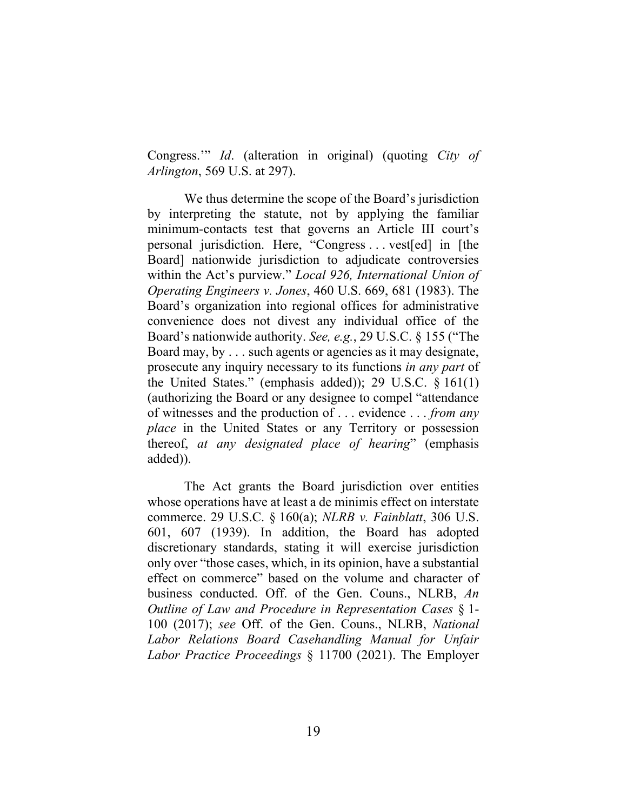Congress.'" *Id*. (alteration in original) (quoting *City of Arlington*, 569 U.S. at 297).

We thus determine the scope of the Board's jurisdiction by interpreting the statute, not by applying the familiar minimum-contacts test that governs an Article III court's personal jurisdiction. Here, "Congress . . . vest[ed] in [the Board] nationwide jurisdiction to adjudicate controversies within the Act's purview." *Local 926, International Union of Operating Engineers v. Jones*, 460 U.S. 669, 681 (1983). The Board's organization into regional offices for administrative convenience does not divest any individual office of the Board's nationwide authority. *See, e.g.*, 29 U.S.C. § 155 ("The Board may, by . . . such agents or agencies as it may designate, prosecute any inquiry necessary to its functions *in any part* of the United States." (emphasis added)); 29 U.S.C. § 161(1) (authorizing the Board or any designee to compel "attendance of witnesses and the production of . . . evidence . . . *from any place* in the United States or any Territory or possession thereof, *at any designated place of hearing*" (emphasis added)).

The Act grants the Board jurisdiction over entities whose operations have at least a de minimis effect on interstate commerce. 29 U.S.C. § 160(a); *NLRB v. Fainblatt*, 306 U.S. 601, 607 (1939). In addition, the Board has adopted discretionary standards, stating it will exercise jurisdiction only over "those cases, which, in its opinion, have a substantial effect on commerce" based on the volume and character of business conducted. Off. of the Gen. Couns., NLRB, *An Outline of Law and Procedure in Representation Cases* § 1- 100 (2017); *see* Off. of the Gen. Couns., NLRB, *National Labor Relations Board Casehandling Manual for Unfair Labor Practice Proceedings* § 11700 (2021). The Employer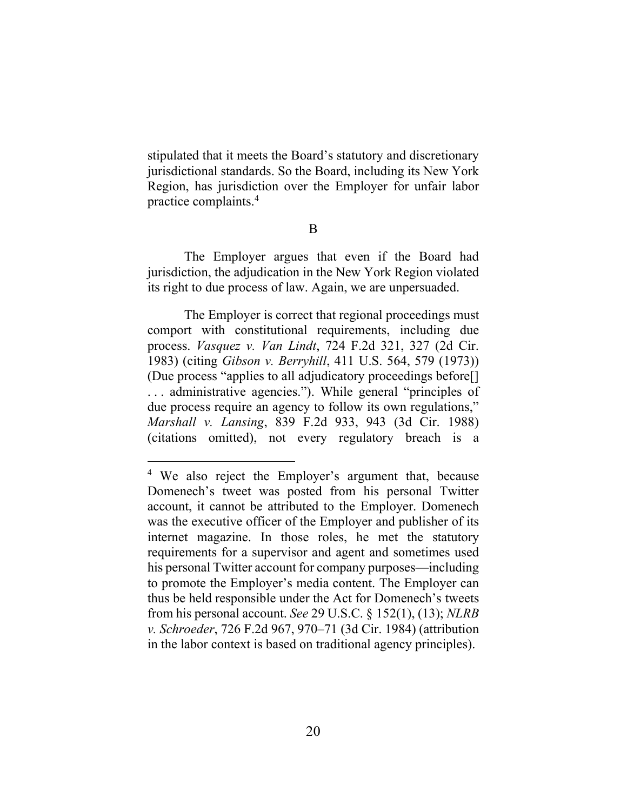stipulated that it meets the Board's statutory and discretionary jurisdictional standards. So the Board, including its New York Region, has jurisdiction over the Employer for unfair labor practice complaints.<sup>4</sup>

B

The Employer argues that even if the Board had jurisdiction, the adjudication in the New York Region violated its right to due process of law. Again, we are unpersuaded.

The Employer is correct that regional proceedings must comport with constitutional requirements, including due process. *Vasquez v. Van Lindt*, 724 F.2d 321, 327 (2d Cir. 1983) (citing *Gibson v. Berryhill*, 411 U.S. 564, 579 (1973)) (Due process "applies to all adjudicatory proceedings before[] . . . administrative agencies."). While general "principles of due process require an agency to follow its own regulations," *Marshall v. Lansing*, 839 F.2d 933, 943 (3d Cir. 1988) (citations omitted), not every regulatory breach is a

<sup>&</sup>lt;sup>4</sup> We also reject the Employer's argument that, because Domenech's tweet was posted from his personal Twitter account, it cannot be attributed to the Employer. Domenech was the executive officer of the Employer and publisher of its internet magazine. In those roles, he met the statutory requirements for a supervisor and agent and sometimes used his personal Twitter account for company purposes—including to promote the Employer's media content. The Employer can thus be held responsible under the Act for Domenech's tweets from his personal account. *See* 29 U.S.C. § 152(1), (13); *NLRB v. Schroeder*, 726 F.2d 967, 970–71 (3d Cir. 1984) (attribution in the labor context is based on traditional agency principles).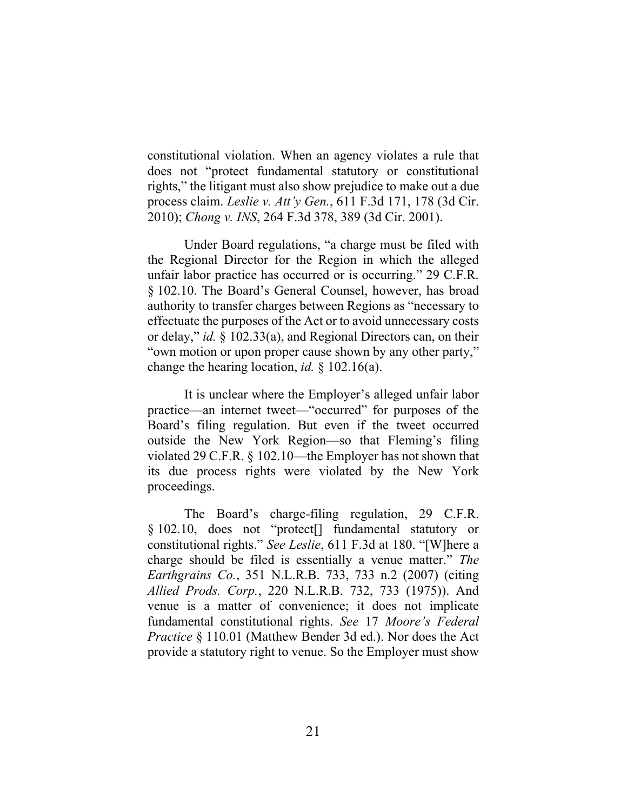constitutional violation. When an agency violates a rule that does not "protect fundamental statutory or constitutional rights," the litigant must also show prejudice to make out a due process claim. *Leslie v. Att'y Gen.*, 611 F.3d 171, 178 (3d Cir. 2010); *Chong v. INS*, 264 F.3d 378, 389 (3d Cir. 2001).

Under Board regulations, "a charge must be filed with the Regional Director for the Region in which the alleged unfair labor practice has occurred or is occurring." 29 C.F.R. § 102.10. The Board's General Counsel, however, has broad authority to transfer charges between Regions as "necessary to effectuate the purposes of the Act or to avoid unnecessary costs or delay," *id.* § 102.33(a), and Regional Directors can, on their "own motion or upon proper cause shown by any other party," change the hearing location, *id.* § 102.16(a).

It is unclear where the Employer's alleged unfair labor practice—an internet tweet—"occurred" for purposes of the Board's filing regulation. But even if the tweet occurred outside the New York Region—so that Fleming's filing violated 29 C.F.R. § 102.10—the Employer has not shown that its due process rights were violated by the New York proceedings.

The Board's charge-filing regulation, 29 C.F.R. § 102.10, does not "protect[] fundamental statutory or constitutional rights." *See Leslie*, 611 F.3d at 180. "[W]here a charge should be filed is essentially a venue matter." *The Earthgrains Co.*, 351 N.L.R.B. 733, 733 n.2 (2007) (citing *Allied Prods. Corp.*, 220 N.L.R.B. 732, 733 (1975)). And venue is a matter of convenience; it does not implicate fundamental constitutional rights. *See* 17 *Moore's Federal Practice* § 110.01 (Matthew Bender 3d ed.). Nor does the Act provide a statutory right to venue. So the Employer must show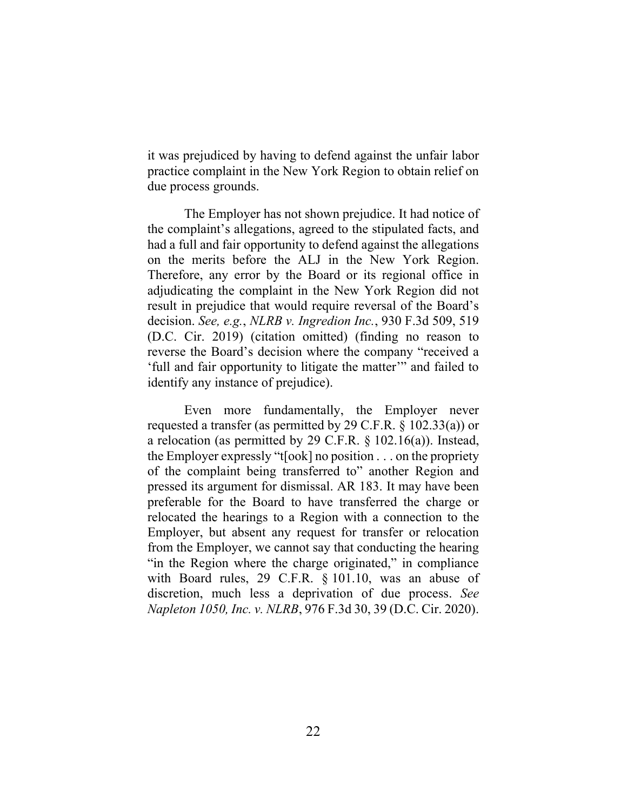it was prejudiced by having to defend against the unfair labor practice complaint in the New York Region to obtain relief on due process grounds.

The Employer has not shown prejudice. It had notice of the complaint's allegations, agreed to the stipulated facts, and had a full and fair opportunity to defend against the allegations on the merits before the ALJ in the New York Region. Therefore, any error by the Board or its regional office in adjudicating the complaint in the New York Region did not result in prejudice that would require reversal of the Board's decision. *See, e.g.*, *NLRB v. Ingredion Inc.*, 930 F.3d 509, 519 (D.C. Cir. 2019) (citation omitted) (finding no reason to reverse the Board's decision where the company "received a 'full and fair opportunity to litigate the matter'" and failed to identify any instance of prejudice).

Even more fundamentally, the Employer never requested a transfer (as permitted by 29 C.F.R. § 102.33(a)) or a relocation (as permitted by 29 C.F.R. § 102.16(a)). Instead, the Employer expressly "t[ook] no position . . . on the propriety of the complaint being transferred to" another Region and pressed its argument for dismissal. AR 183. It may have been preferable for the Board to have transferred the charge or relocated the hearings to a Region with a connection to the Employer, but absent any request for transfer or relocation from the Employer, we cannot say that conducting the hearing "in the Region where the charge originated," in compliance with Board rules, 29 C.F.R. § 101.10, was an abuse of discretion, much less a deprivation of due process. *See Napleton 1050, Inc. v. NLRB*, 976 F.3d 30, 39 (D.C. Cir. 2020).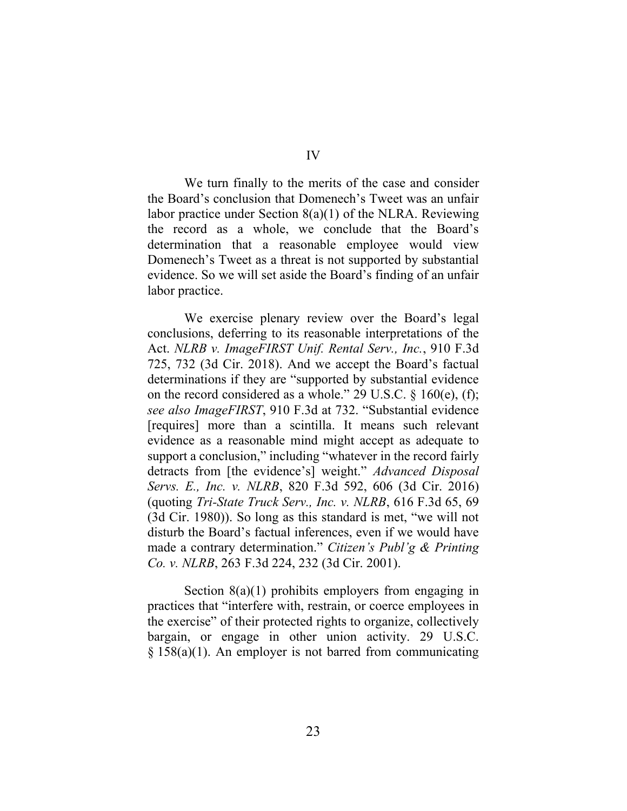IV

We turn finally to the merits of the case and consider the Board's conclusion that Domenech's Tweet was an unfair labor practice under Section  $8(a)(1)$  of the NLRA. Reviewing the record as a whole, we conclude that the Board's determination that a reasonable employee would view Domenech's Tweet as a threat is not supported by substantial evidence. So we will set aside the Board's finding of an unfair labor practice.

We exercise plenary review over the Board's legal conclusions, deferring to its reasonable interpretations of the Act. *NLRB v. ImageFIRST Unif. Rental Serv., Inc.*, 910 F.3d 725, 732 (3d Cir. 2018). And we accept the Board's factual determinations if they are "supported by substantial evidence on the record considered as a whole." 29 U.S.C. § 160(e), (f); *see also ImageFIRST*, 910 F.3d at 732. "Substantial evidence [requires] more than a scintilla. It means such relevant evidence as a reasonable mind might accept as adequate to support a conclusion," including "whatever in the record fairly detracts from [the evidence's] weight." *Advanced Disposal Servs. E., Inc. v. NLRB*, 820 F.3d 592, 606 (3d Cir. 2016) (quoting *Tri-State Truck Serv., Inc. v. NLRB*, 616 F.3d 65, 69 (3d Cir. 1980)). So long as this standard is met, "we will not disturb the Board's factual inferences, even if we would have made a contrary determination." *Citizen's Publ'g & Printing Co. v. NLRB*, 263 F.3d 224, 232 (3d Cir. 2001).

Section  $8(a)(1)$  prohibits employers from engaging in practices that "interfere with, restrain, or coerce employees in the exercise" of their protected rights to organize, collectively bargain, or engage in other union activity. 29 U.S.C. § 158(a)(1). An employer is not barred from communicating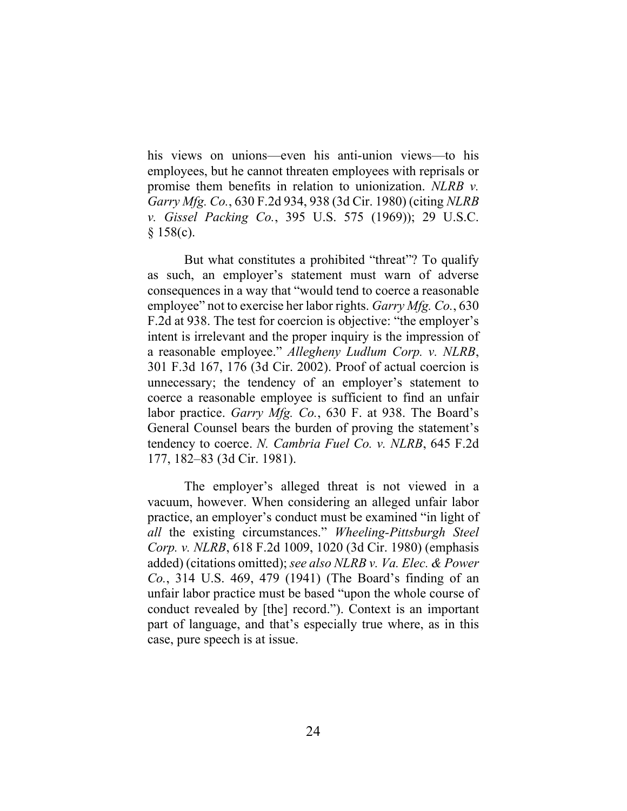his views on unions—even his anti-union views—to his employees, but he cannot threaten employees with reprisals or promise them benefits in relation to unionization. *NLRB v. Garry Mfg. Co.*, 630 F.2d 934, 938 (3d Cir. 1980) (citing *NLRB v. Gissel Packing Co.*, 395 U.S. 575 (1969)); 29 U.S.C.  $§$  158(c).

But what constitutes a prohibited "threat"? To qualify as such, an employer's statement must warn of adverse consequences in a way that "would tend to coerce a reasonable employee" not to exercise her labor rights. *Garry Mfg. Co.*, 630 F.2d at 938. The test for coercion is objective: "the employer's intent is irrelevant and the proper inquiry is the impression of a reasonable employee." *Allegheny Ludlum Corp. v. NLRB*, 301 F.3d 167, 176 (3d Cir. 2002). Proof of actual coercion is unnecessary; the tendency of an employer's statement to coerce a reasonable employee is sufficient to find an unfair labor practice. *Garry Mfg. Co.*, 630 F. at 938. The Board's General Counsel bears the burden of proving the statement's tendency to coerce. *N. Cambria Fuel Co. v. NLRB*, 645 F.2d 177, 182–83 (3d Cir. 1981).

The employer's alleged threat is not viewed in a vacuum, however. When considering an alleged unfair labor practice, an employer's conduct must be examined "in light of *all* the existing circumstances." *Wheeling-Pittsburgh Steel Corp. v. NLRB*, 618 F.2d 1009, 1020 (3d Cir. 1980) (emphasis added) (citations omitted); *see also NLRB v. Va. Elec. & Power Co.*, 314 U.S. 469, 479 (1941) (The Board's finding of an unfair labor practice must be based "upon the whole course of conduct revealed by [the] record."). Context is an important part of language, and that's especially true where, as in this case, pure speech is at issue.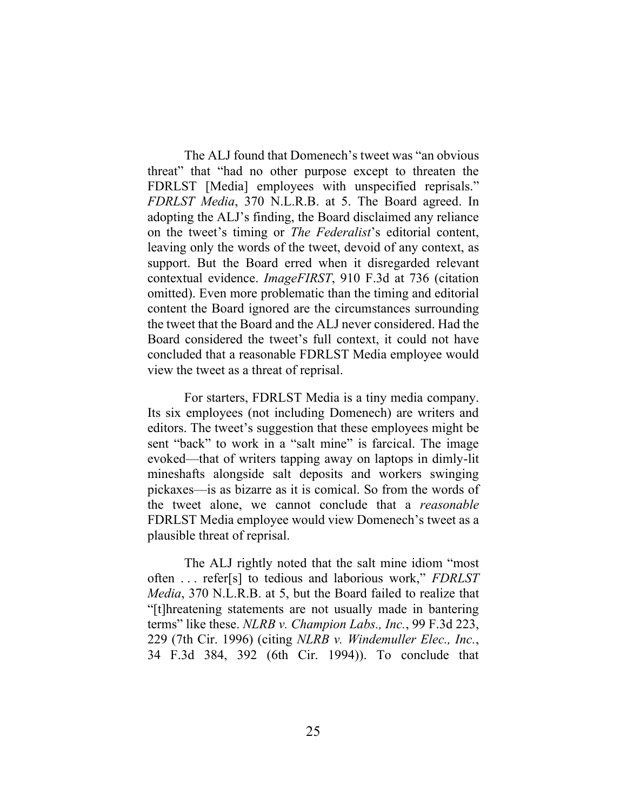The ALJ found that Domenech's tweet was "an obvious threat" that "had no other purpose except to threaten the FDRLST [Media] employees with unspecified reprisals." *FDRLST Media*, 370 N.L.R.B. at 5. The Board agreed. In adopting the ALJ's finding, the Board disclaimed any reliance on the tweet's timing or *The Federalist*'s editorial content, leaving only the words of the tweet, devoid of any context, as support. But the Board erred when it disregarded relevant contextual evidence. *ImageFIRST*, 910 F.3d at 736 (citation omitted). Even more problematic than the timing and editorial content the Board ignored are the circumstances surrounding the tweet that the Board and the ALJ never considered. Had the Board considered the tweet's full context, it could not have concluded that a reasonable FDRLST Media employee would view the tweet as a threat of reprisal.

For starters, FDRLST Media is a tiny media company. Its six employees (not including Domenech) are writers and editors. The tweet's suggestion that these employees might be sent "back" to work in a "salt mine" is farcical. The image evoked—that of writers tapping away on laptops in dimly-lit mineshafts alongside salt deposits and workers swinging pickaxes—is as bizarre as it is comical. So from the words of the tweet alone, we cannot conclude that a *reasonable* FDRLST Media employee would view Domenech's tweet as a plausible threat of reprisal.

The ALJ rightly noted that the salt mine idiom "most often . . . refer[s] to tedious and laborious work," *FDRLST Media*, 370 N.L.R.B. at 5, but the Board failed to realize that "[t]hreatening statements are not usually made in bantering terms" like these. *NLRB v. Champion Labs., Inc.*, 99 F.3d 223, 229 (7th Cir. 1996) (citing *NLRB v. Windemuller Elec., Inc.*, 34 F.3d 384, 392 (6th Cir. 1994)). To conclude that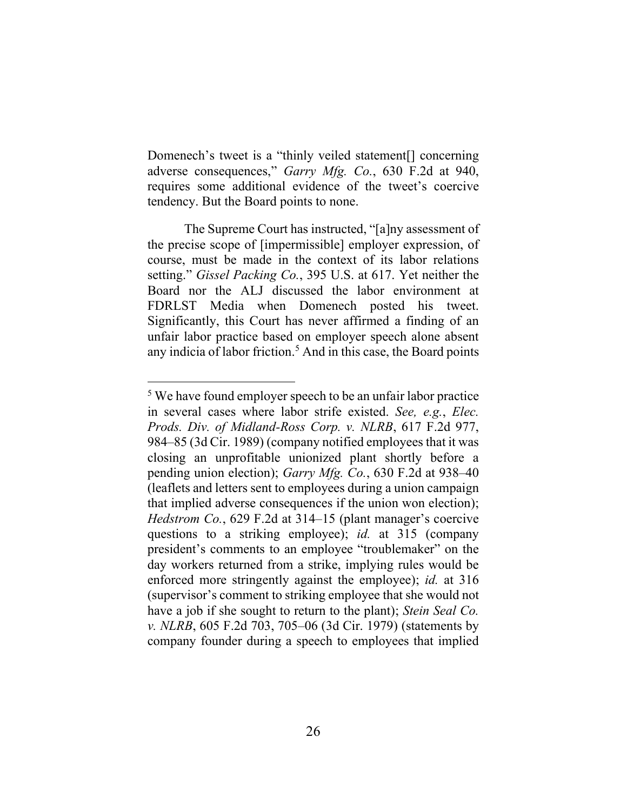Domenech's tweet is a "thinly veiled statement[] concerning adverse consequences," *Garry Mfg. Co.*, 630 F.2d at 940, requires some additional evidence of the tweet's coercive tendency. But the Board points to none.

The Supreme Court has instructed, "[a]ny assessment of the precise scope of [impermissible] employer expression, of course, must be made in the context of its labor relations setting." *Gissel Packing Co.*, 395 U.S. at 617. Yet neither the Board nor the ALJ discussed the labor environment at FDRLST Media when Domenech posted his tweet. Significantly, this Court has never affirmed a finding of an unfair labor practice based on employer speech alone absent any indicia of labor friction.<sup>5</sup> And in this case, the Board points

<sup>&</sup>lt;sup>5</sup> We have found employer speech to be an unfair labor practice in several cases where labor strife existed. *See, e.g.*, *Elec. Prods. Div. of Midland-Ross Corp. v. NLRB*, 617 F.2d 977, 984–85 (3d Cir. 1989) (company notified employees that it was closing an unprofitable unionized plant shortly before a pending union election); *Garry Mfg. Co.*, 630 F.2d at 938–40 (leaflets and letters sent to employees during a union campaign that implied adverse consequences if the union won election); *Hedstrom Co.*, 629 F.2d at 314–15 (plant manager's coercive questions to a striking employee); *id.* at 315 (company president's comments to an employee "troublemaker" on the day workers returned from a strike, implying rules would be enforced more stringently against the employee); *id.* at 316 (supervisor's comment to striking employee that she would not have a job if she sought to return to the plant); *Stein Seal Co. v. NLRB*, 605 F.2d 703, 705–06 (3d Cir. 1979) (statements by company founder during a speech to employees that implied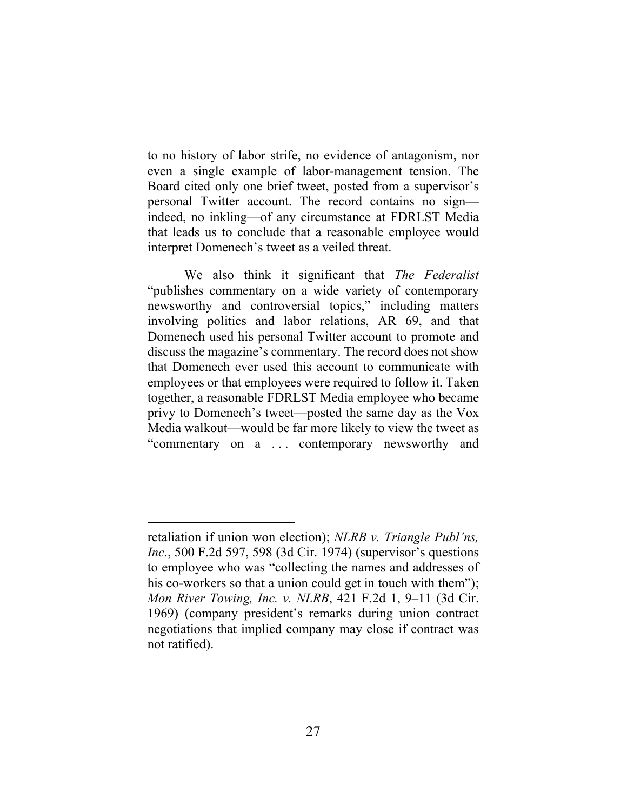to no history of labor strife, no evidence of antagonism, nor even a single example of labor-management tension. The Board cited only one brief tweet, posted from a supervisor's personal Twitter account. The record contains no sign indeed, no inkling—of any circumstance at FDRLST Media that leads us to conclude that a reasonable employee would interpret Domenech's tweet as a veiled threat.

We also think it significant that *The Federalist* "publishes commentary on a wide variety of contemporary newsworthy and controversial topics," including matters involving politics and labor relations, AR 69, and that Domenech used his personal Twitter account to promote and discuss the magazine's commentary. The record does not show that Domenech ever used this account to communicate with employees or that employees were required to follow it. Taken together, a reasonable FDRLST Media employee who became privy to Domenech's tweet—posted the same day as the Vox Media walkout—would be far more likely to view the tweet as "commentary on a ... contemporary newsworthy and

retaliation if union won election); *NLRB v. Triangle Publ'ns, Inc.*, 500 F.2d 597, 598 (3d Cir. 1974) (supervisor's questions to employee who was "collecting the names and addresses of his co-workers so that a union could get in touch with them"); *Mon River Towing, Inc. v. NLRB*, 421 F.2d 1, 9–11 (3d Cir. 1969) (company president's remarks during union contract negotiations that implied company may close if contract was not ratified).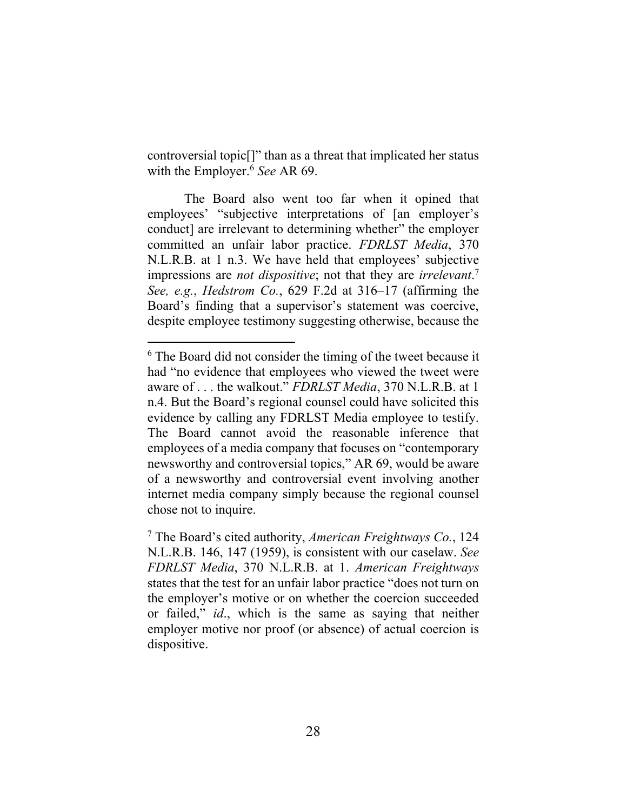controversial topic[]" than as a threat that implicated her status with the Employer. <sup>6</sup> *See* AR 69.

The Board also went too far when it opined that employees' "subjective interpretations of [an employer's conduct] are irrelevant to determining whether" the employer committed an unfair labor practice. *FDRLST Media*, 370 N.L.R.B. at 1 n.3. We have held that employees' subjective impressions are *not dispositive*; not that they are *irrelevant*. 7 *See, e.g.*, *Hedstrom Co.*, 629 F.2d at 316–17 (affirming the Board's finding that a supervisor's statement was coercive, despite employee testimony suggesting otherwise, because the

<sup>&</sup>lt;sup>6</sup> The Board did not consider the timing of the tweet because it had "no evidence that employees who viewed the tweet were aware of . . . the walkout." *FDRLST Media*, 370 N.L.R.B. at 1 n.4. But the Board's regional counsel could have solicited this evidence by calling any FDRLST Media employee to testify. The Board cannot avoid the reasonable inference that employees of a media company that focuses on "contemporary newsworthy and controversial topics," AR 69, would be aware of a newsworthy and controversial event involving another internet media company simply because the regional counsel chose not to inquire.

<sup>7</sup> The Board's cited authority, *American Freightways Co.*, 124 N.L.R.B. 146, 147 (1959), is consistent with our caselaw. *See FDRLST Media*, 370 N.L.R.B. at 1. *American Freightways* states that the test for an unfair labor practice "does not turn on the employer's motive or on whether the coercion succeeded or failed," *id*., which is the same as saying that neither employer motive nor proof (or absence) of actual coercion is dispositive.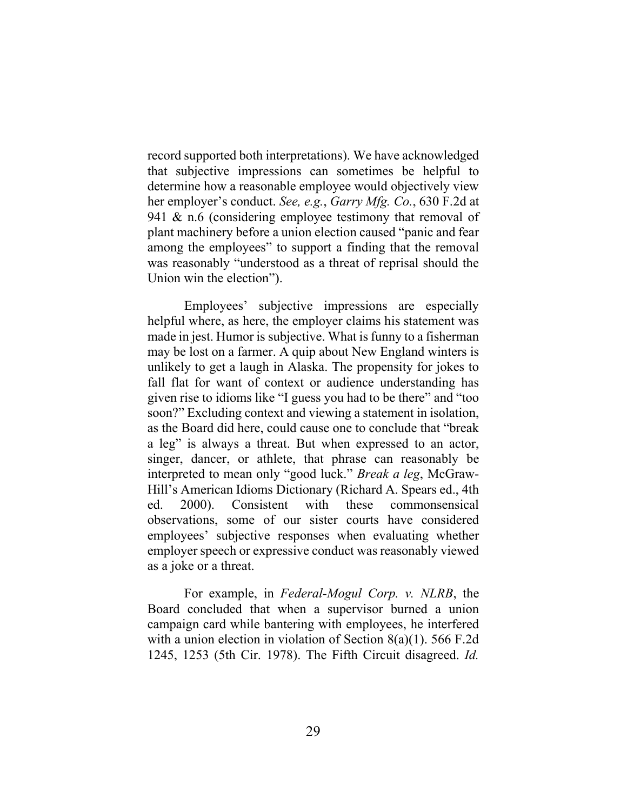record supported both interpretations). We have acknowledged that subjective impressions can sometimes be helpful to determine how a reasonable employee would objectively view her employer's conduct. *See, e.g.*, *Garry Mfg. Co.*, 630 F.2d at 941 & n.6 (considering employee testimony that removal of plant machinery before a union election caused "panic and fear among the employees" to support a finding that the removal was reasonably "understood as a threat of reprisal should the Union win the election").

Employees' subjective impressions are especially helpful where, as here, the employer claims his statement was made in jest. Humor is subjective. What is funny to a fisherman may be lost on a farmer. A quip about New England winters is unlikely to get a laugh in Alaska. The propensity for jokes to fall flat for want of context or audience understanding has given rise to idioms like "I guess you had to be there" and "too soon?" Excluding context and viewing a statement in isolation, as the Board did here, could cause one to conclude that "break a leg" is always a threat. But when expressed to an actor, singer, dancer, or athlete, that phrase can reasonably be interpreted to mean only "good luck." *Break a leg*, McGraw-Hill's American Idioms Dictionary (Richard A. Spears ed., 4th ed. 2000). Consistent with these commonsensical observations, some of our sister courts have considered employees' subjective responses when evaluating whether employer speech or expressive conduct was reasonably viewed as a joke or a threat.

For example, in *Federal-Mogul Corp. v. NLRB*, the Board concluded that when a supervisor burned a union campaign card while bantering with employees, he interfered with a union election in violation of Section 8(a)(1). 566 F.2d 1245, 1253 (5th Cir. 1978). The Fifth Circuit disagreed. *Id.*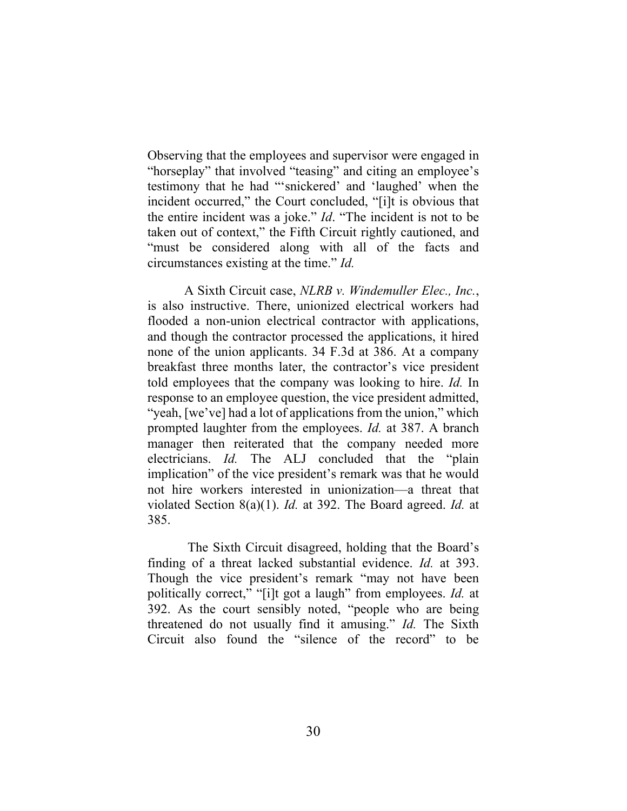Observing that the employees and supervisor were engaged in "horseplay" that involved "teasing" and citing an employee's testimony that he had "'snickered' and 'laughed' when the incident occurred," the Court concluded, "[i]t is obvious that the entire incident was a joke." *Id*. "The incident is not to be taken out of context," the Fifth Circuit rightly cautioned, and "must be considered along with all of the facts and circumstances existing at the time." *Id.*

A Sixth Circuit case, *NLRB v. Windemuller Elec., Inc.*, is also instructive. There, unionized electrical workers had flooded a non-union electrical contractor with applications, and though the contractor processed the applications, it hired none of the union applicants. 34 F.3d at 386. At a company breakfast three months later, the contractor's vice president told employees that the company was looking to hire. *Id.* In response to an employee question, the vice president admitted, "yeah, [we've] had a lot of applications from the union," which prompted laughter from the employees. *Id.* at 387. A branch manager then reiterated that the company needed more electricians. *Id.* The ALJ concluded that the "plain implication" of the vice president's remark was that he would not hire workers interested in unionization—a threat that violated Section 8(a)(1). *Id.* at 392. The Board agreed. *Id.* at 385.

The Sixth Circuit disagreed, holding that the Board's finding of a threat lacked substantial evidence. *Id.* at 393. Though the vice president's remark "may not have been politically correct," "[i]t got a laugh" from employees. *Id.* at 392. As the court sensibly noted, "people who are being threatened do not usually find it amusing." *Id.* The Sixth Circuit also found the "silence of the record" to be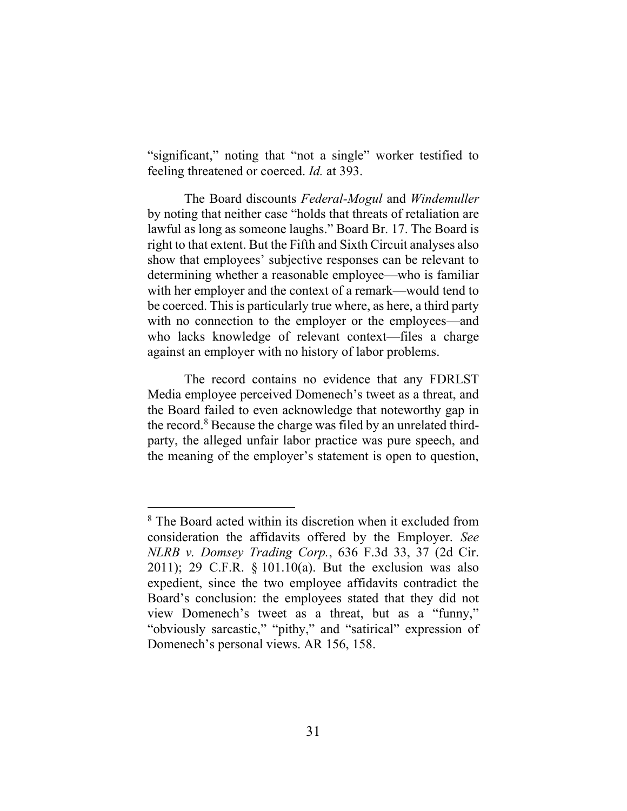"significant," noting that "not a single" worker testified to feeling threatened or coerced. *Id.* at 393.

The Board discounts *Federal-Mogul* and *Windemuller* by noting that neither case "holds that threats of retaliation are lawful as long as someone laughs." Board Br. 17. The Board is right to that extent. But the Fifth and Sixth Circuit analyses also show that employees' subjective responses can be relevant to determining whether a reasonable employee—who is familiar with her employer and the context of a remark—would tend to be coerced. This is particularly true where, as here, a third party with no connection to the employer or the employees—and who lacks knowledge of relevant context—files a charge against an employer with no history of labor problems.

The record contains no evidence that any FDRLST Media employee perceived Domenech's tweet as a threat, and the Board failed to even acknowledge that noteworthy gap in the record.<sup>8</sup> Because the charge was filed by an unrelated thirdparty, the alleged unfair labor practice was pure speech, and the meaning of the employer's statement is open to question,

<sup>&</sup>lt;sup>8</sup> The Board acted within its discretion when it excluded from consideration the affidavits offered by the Employer. *See NLRB v. Domsey Trading Corp.*, 636 F.3d 33, 37 (2d Cir. 2011); 29 C.F.R. § 101.10(a). But the exclusion was also expedient, since the two employee affidavits contradict the Board's conclusion: the employees stated that they did not view Domenech's tweet as a threat, but as a "funny," "obviously sarcastic," "pithy," and "satirical" expression of Domenech's personal views. AR 156, 158.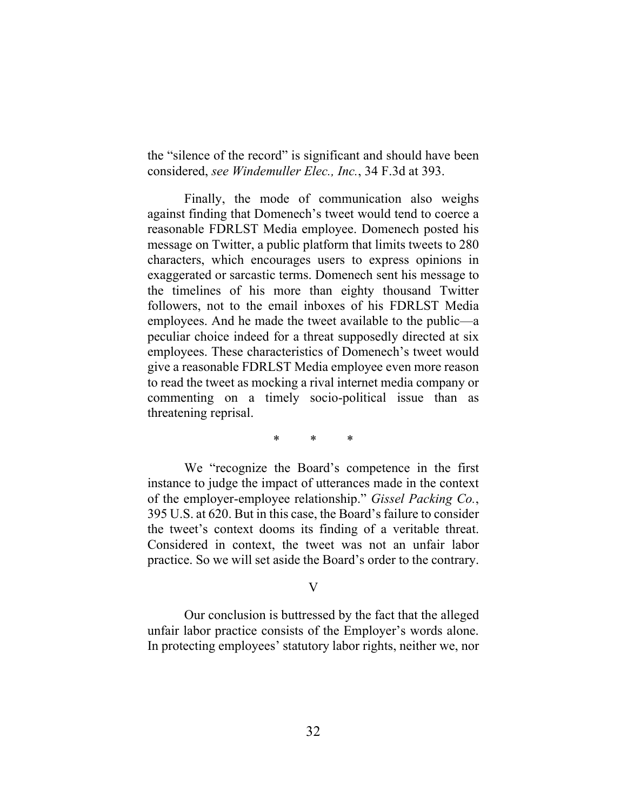the "silence of the record" is significant and should have been considered, *see Windemuller Elec., Inc.*, 34 F.3d at 393.

Finally, the mode of communication also weighs against finding that Domenech's tweet would tend to coerce a reasonable FDRLST Media employee. Domenech posted his message on Twitter, a public platform that limits tweets to 280 characters, which encourages users to express opinions in exaggerated or sarcastic terms. Domenech sent his message to the timelines of his more than eighty thousand Twitter followers, not to the email inboxes of his FDRLST Media employees. And he made the tweet available to the public—a peculiar choice indeed for a threat supposedly directed at six employees. These characteristics of Domenech's tweet would give a reasonable FDRLST Media employee even more reason to read the tweet as mocking a rival internet media company or commenting on a timely socio-political issue than as threatening reprisal.

\* \* \*

We "recognize the Board's competence in the first instance to judge the impact of utterances made in the context of the employer-employee relationship." *Gissel Packing Co.*, 395 U.S. at 620. But in this case, the Board's failure to consider the tweet's context dooms its finding of a veritable threat. Considered in context, the tweet was not an unfair labor practice. So we will set aside the Board's order to the contrary.

## V

Our conclusion is buttressed by the fact that the alleged unfair labor practice consists of the Employer's words alone. In protecting employees' statutory labor rights, neither we, nor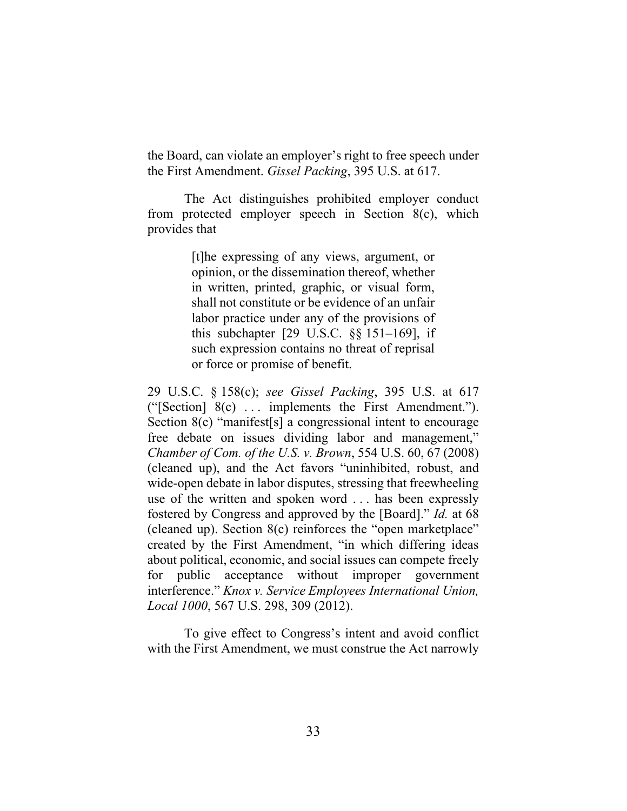the Board, can violate an employer's right to free speech under the First Amendment. *Gissel Packing*, 395 U.S. at 617.

The Act distinguishes prohibited employer conduct from protected employer speech in Section 8(c), which provides that

> [t]he expressing of any views, argument, or opinion, or the dissemination thereof, whether in written, printed, graphic, or visual form, shall not constitute or be evidence of an unfair labor practice under any of the provisions of this subchapter [29 U.S.C. §§ 151–169], if such expression contains no threat of reprisal or force or promise of benefit.

29 U.S.C. § 158(c); *see Gissel Packing*, 395 U.S. at 617 ("[Section] 8(c) . . . implements the First Amendment."). Section 8(c) "manifest<sup>[s]</sup> a congressional intent to encourage free debate on issues dividing labor and management," *Chamber of Com. of the U.S. v. Brown*, 554 U.S. 60, 67 (2008) (cleaned up), and the Act favors "uninhibited, robust, and wide-open debate in labor disputes, stressing that freewheeling use of the written and spoken word . . . has been expressly fostered by Congress and approved by the [Board]." *Id.* at 68 (cleaned up). Section 8(c) reinforces the "open marketplace" created by the First Amendment, "in which differing ideas about political, economic, and social issues can compete freely for public acceptance without improper government interference." *Knox v. Service Employees International Union, Local 1000*, 567 U.S. 298, 309 (2012).

To give effect to Congress's intent and avoid conflict with the First Amendment, we must construe the Act narrowly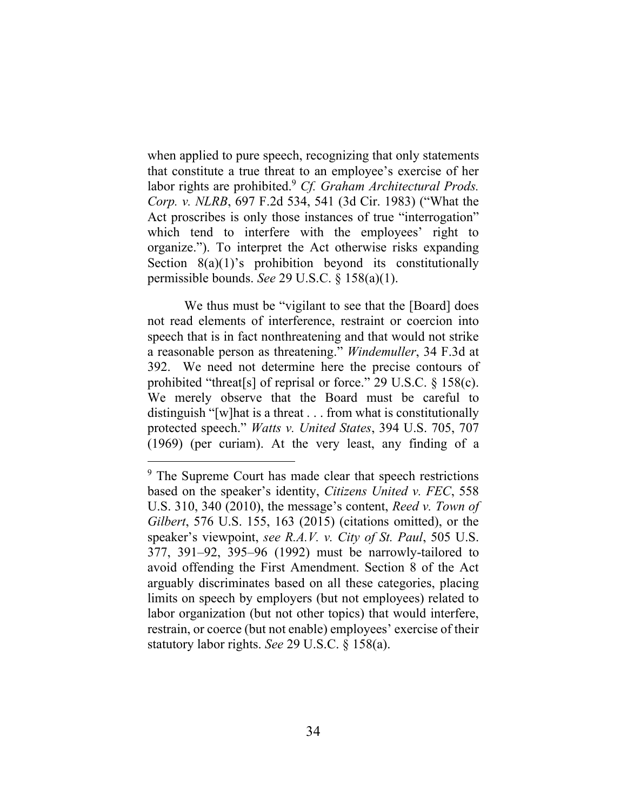when applied to pure speech, recognizing that only statements that constitute a true threat to an employee's exercise of her labor rights are prohibited.<sup>9</sup> *Cf. Graham Architectural Prods. Corp. v. NLRB*, 697 F.2d 534, 541 (3d Cir. 1983) ("What the Act proscribes is only those instances of true "interrogation" which tend to interfere with the employees' right to organize."). To interpret the Act otherwise risks expanding Section  $8(a)(1)$ 's prohibition beyond its constitutionally permissible bounds. *See* 29 U.S.C. § 158(a)(1).

We thus must be "vigilant to see that the [Board] does not read elements of interference, restraint or coercion into speech that is in fact nonthreatening and that would not strike a reasonable person as threatening." *Windemuller*, 34 F.3d at 392. We need not determine here the precise contours of prohibited "threat[s] of reprisal or force." 29 U.S.C. § 158(c). We merely observe that the Board must be careful to distinguish "[w]hat is a threat . . . from what is constitutionally protected speech." *Watts v. United States*, 394 U.S. 705, 707 (1969) (per curiam). At the very least, any finding of a

<sup>&</sup>lt;sup>9</sup> The Supreme Court has made clear that speech restrictions based on the speaker's identity, *Citizens United v. FEC*, 558 U.S. 310, 340 (2010), the message's content, *Reed v. Town of Gilbert*, 576 U.S. 155, 163 (2015) (citations omitted), or the speaker's viewpoint, *see R.A.V. v. City of St. Paul*, 505 U.S. 377, 391–92, 395–96 (1992) must be narrowly-tailored to avoid offending the First Amendment. Section 8 of the Act arguably discriminates based on all these categories, placing limits on speech by employers (but not employees) related to labor organization (but not other topics) that would interfere, restrain, or coerce (but not enable) employees' exercise of their statutory labor rights. *See* 29 U.S.C. § 158(a).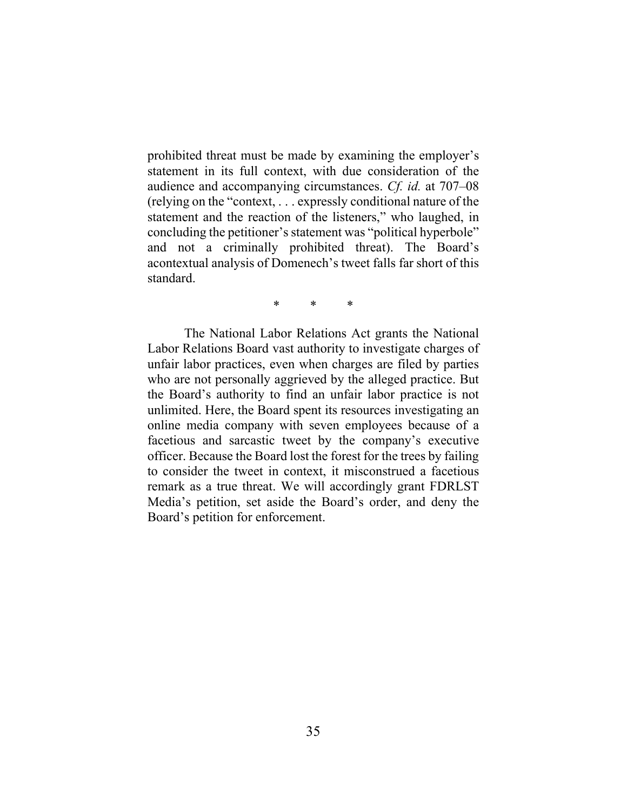prohibited threat must be made by examining the employer's statement in its full context, with due consideration of the audience and accompanying circumstances. *Cf. id.* at 707–08 (relying on the "context, . . . expressly conditional nature of the statement and the reaction of the listeners," who laughed, in concluding the petitioner's statement was "political hyperbole" and not a criminally prohibited threat). The Board's acontextual analysis of Domenech's tweet falls far short of this standard.

\* \* \*

The National Labor Relations Act grants the National Labor Relations Board vast authority to investigate charges of unfair labor practices, even when charges are filed by parties who are not personally aggrieved by the alleged practice. But the Board's authority to find an unfair labor practice is not unlimited. Here, the Board spent its resources investigating an online media company with seven employees because of a facetious and sarcastic tweet by the company's executive officer. Because the Board lost the forest for the trees by failing to consider the tweet in context, it misconstrued a facetious remark as a true threat. We will accordingly grant FDRLST Media's petition, set aside the Board's order, and deny the Board's petition for enforcement.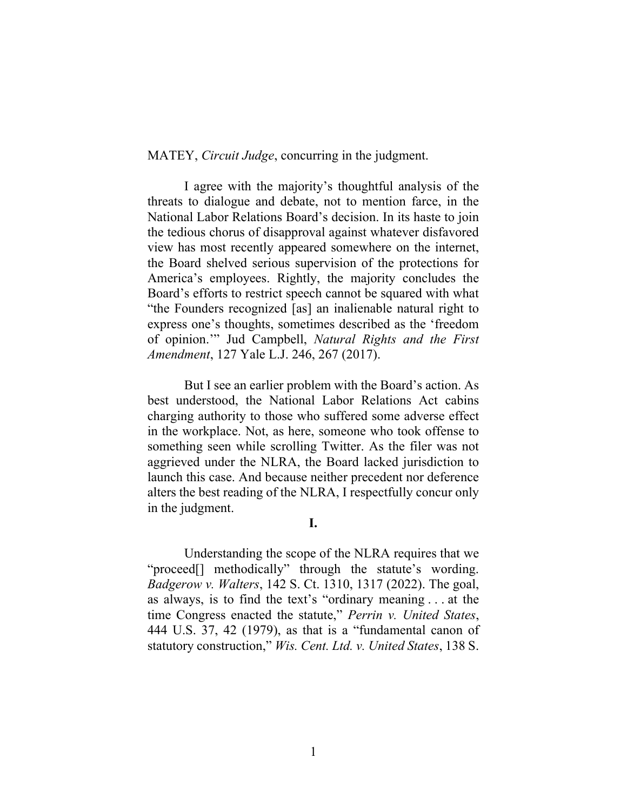MATEY, *Circuit Judge*, concurring in the judgment.

I agree with the majority's thoughtful analysis of the threats to dialogue and debate, not to mention farce, in the National Labor Relations Board's decision. In its haste to join the tedious chorus of disapproval against whatever disfavored view has most recently appeared somewhere on the internet, the Board shelved serious supervision of the protections for America's employees. Rightly, the majority concludes the Board's efforts to restrict speech cannot be squared with what "the Founders recognized [as] an inalienable natural right to express one's thoughts, sometimes described as the 'freedom of opinion.'" Jud Campbell, *Natural Rights and the First Amendment*, 127 Yale L.J. 246, 267 (2017).

But I see an earlier problem with the Board's action. As best understood, the National Labor Relations Act cabins charging authority to those who suffered some adverse effect in the workplace. Not, as here, someone who took offense to something seen while scrolling Twitter. As the filer was not aggrieved under the NLRA, the Board lacked jurisdiction to launch this case. And because neither precedent nor deference alters the best reading of the NLRA, I respectfully concur only in the judgment.

#### **I.**

Understanding the scope of the NLRA requires that we "proceed[] methodically" through the statute's wording. *Badgerow v. Walters*, 142 S. Ct. 1310, 1317 (2022). The goal, as always, is to find the text's "ordinary meaning . . . at the time Congress enacted the statute," *Perrin v. United States*, 444 U.S. 37, 42 (1979), as that is a "fundamental canon of statutory construction," *Wis. Cent. Ltd. v. United States*, 138 S.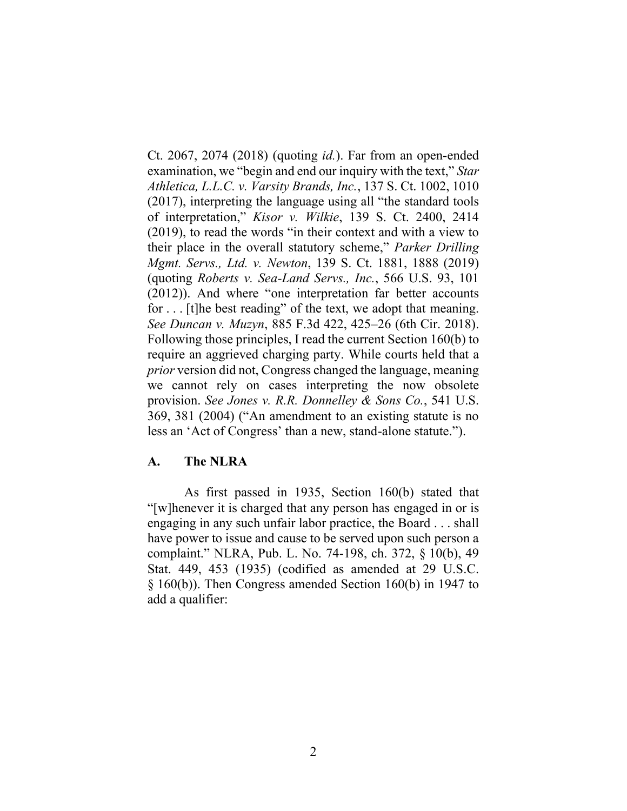Ct. 2067, 2074 (2018) (quoting *id.*). Far from an open-ended examination, we "begin and end our inquiry with the text," *Star Athletica, L.L.C. v. Varsity Brands, Inc.*, 137 S. Ct. 1002, 1010 (2017), interpreting the language using all "the standard tools of interpretation," *Kisor v. Wilkie*, 139 S. Ct. 2400, 2414 (2019), to read the words "in their context and with a view to their place in the overall statutory scheme," *Parker Drilling Mgmt. Servs., Ltd. v. Newton*, 139 S. Ct. 1881, 1888 (2019) (quoting *Roberts v. Sea-Land Servs., Inc.*, 566 U.S. 93, 101 (2012)). And where "one interpretation far better accounts for . . . [t]he best reading" of the text, we adopt that meaning. *See Duncan v. Muzyn*, 885 F.3d 422, 425–26 (6th Cir. 2018). Following those principles, I read the current Section 160(b) to require an aggrieved charging party. While courts held that a *prior* version did not, Congress changed the language, meaning we cannot rely on cases interpreting the now obsolete provision. *See Jones v. R.R. Donnelley & Sons Co.*, 541 U.S. 369, 381 (2004) ("An amendment to an existing statute is no less an 'Act of Congress' than a new, stand-alone statute.").

## **A. The NLRA**

As first passed in 1935, Section 160(b) stated that "[w]henever it is charged that any person has engaged in or is engaging in any such unfair labor practice, the Board . . . shall have power to issue and cause to be served upon such person a complaint." NLRA, Pub. L. No. 74-198, ch. 372, § 10(b), 49 Stat. 449, 453 (1935) (codified as amended at 29 U.S.C. § 160(b)). Then Congress amended Section 160(b) in 1947 to add a qualifier: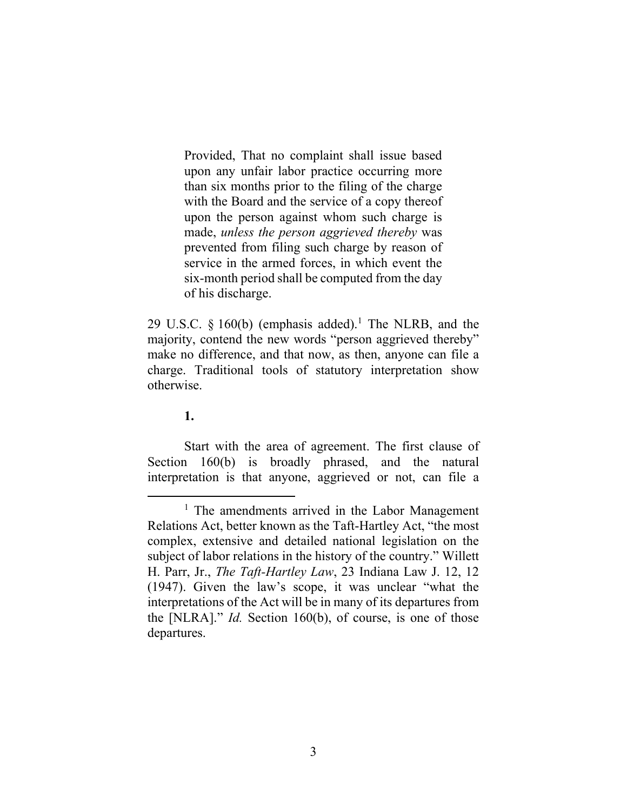Provided, That no complaint shall issue based upon any unfair labor practice occurring more than six months prior to the filing of the charge with the Board and the service of a copy thereof upon the person against whom such charge is made, *unless the person aggrieved thereby* was prevented from filing such charge by reason of service in the armed forces, in which event the six-month period shall be computed from the day of his discharge.

29 U.S.C. § 160(b) (emphasis added).<sup>1</sup> The NLRB, and the majority, contend the new words "person aggrieved thereby" make no difference, and that now, as then, anyone can file a charge. Traditional tools of statutory interpretation show otherwise.

## **1.**

Start with the area of agreement. The first clause of Section 160(b) is broadly phrased, and the natural interpretation is that anyone, aggrieved or not, can file a

 $<sup>1</sup>$  The amendments arrived in the Labor Management</sup> Relations Act, better known as the Taft-Hartley Act, "the most complex, extensive and detailed national legislation on the subject of labor relations in the history of the country." Willett H. Parr, Jr., *The Taft-Hartley Law*, 23 Indiana Law J. 12, 12 (1947). Given the law's scope, it was unclear "what the interpretations of the Act will be in many of its departures from the [NLRA]." *Id.* Section 160(b), of course, is one of those departures.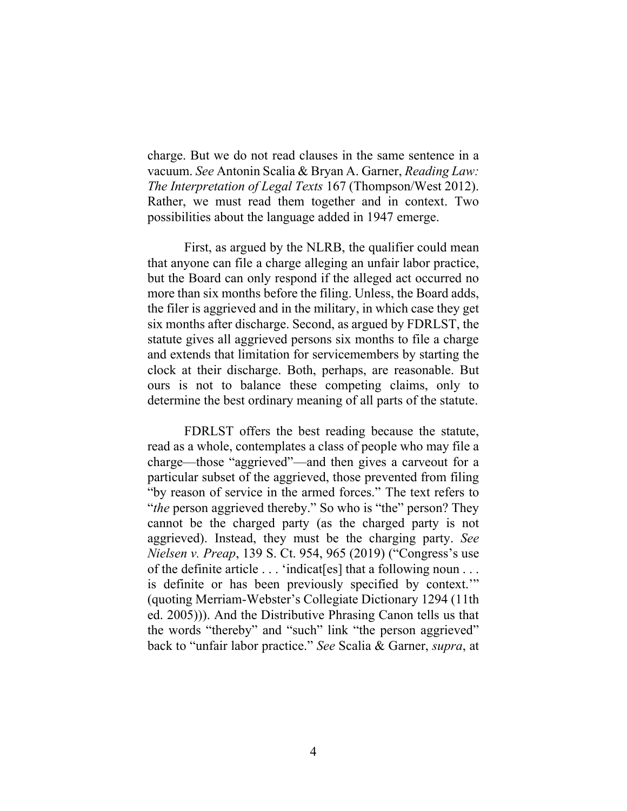charge. But we do not read clauses in the same sentence in a vacuum. *See* Antonin Scalia & Bryan A. Garner, *Reading Law: The Interpretation of Legal Texts* 167 (Thompson/West 2012). Rather, we must read them together and in context. Two possibilities about the language added in 1947 emerge.

First, as argued by the NLRB, the qualifier could mean that anyone can file a charge alleging an unfair labor practice, but the Board can only respond if the alleged act occurred no more than six months before the filing. Unless, the Board adds, the filer is aggrieved and in the military, in which case they get six months after discharge. Second, as argued by FDRLST, the statute gives all aggrieved persons six months to file a charge and extends that limitation for servicemembers by starting the clock at their discharge. Both, perhaps, are reasonable. But ours is not to balance these competing claims, only to determine the best ordinary meaning of all parts of the statute.

FDRLST offers the best reading because the statute, read as a whole, contemplates a class of people who may file a charge—those "aggrieved"—and then gives a carveout for a particular subset of the aggrieved, those prevented from filing "by reason of service in the armed forces." The text refers to "*the* person aggrieved thereby." So who is "the" person? They cannot be the charged party (as the charged party is not aggrieved). Instead, they must be the charging party. *See Nielsen v. Preap*, 139 S. Ct. 954, 965 (2019) ("Congress's use of the definite article . . . 'indicat[es] that a following noun . . . is definite or has been previously specified by context.'" (quoting Merriam-Webster's Collegiate Dictionary 1294 (11th ed. 2005))). And the Distributive Phrasing Canon tells us that the words "thereby" and "such" link "the person aggrieved" back to "unfair labor practice." *See* Scalia & Garner, *supra*, at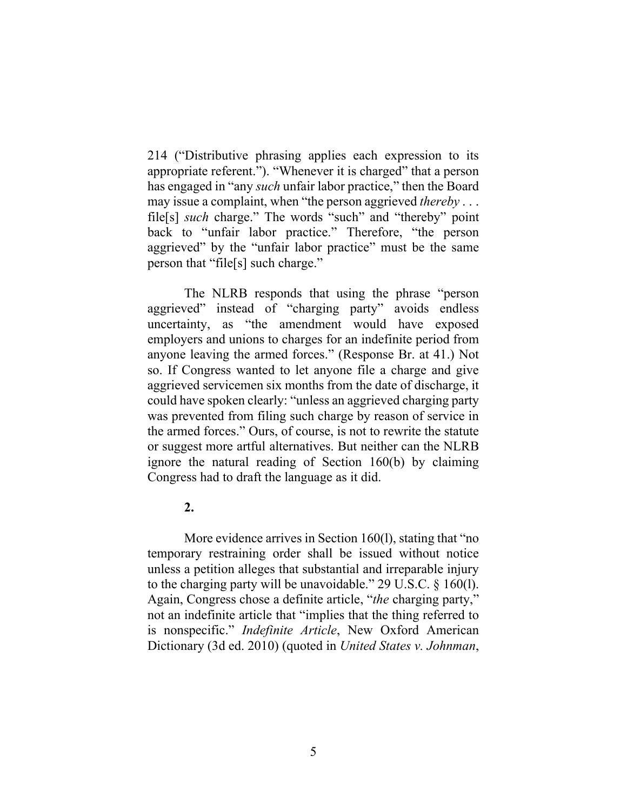214 ("Distributive phrasing applies each expression to its appropriate referent."). "Whenever it is charged" that a person has engaged in "any *such* unfair labor practice," then the Board may issue a complaint, when "the person aggrieved *thereby* . . . file[s] *such* charge." The words "such" and "thereby" point back to "unfair labor practice." Therefore, "the person aggrieved" by the "unfair labor practice" must be the same person that "file[s] such charge."

The NLRB responds that using the phrase "person aggrieved" instead of "charging party" avoids endless uncertainty, as "the amendment would have exposed employers and unions to charges for an indefinite period from anyone leaving the armed forces." (Response Br. at 41.) Not so. If Congress wanted to let anyone file a charge and give aggrieved servicemen six months from the date of discharge, it could have spoken clearly: "unless an aggrieved charging party was prevented from filing such charge by reason of service in the armed forces." Ours, of course, is not to rewrite the statute or suggest more artful alternatives. But neither can the NLRB ignore the natural reading of Section 160(b) by claiming Congress had to draft the language as it did.

## **2.**

More evidence arrives in Section 160(1), stating that "no temporary restraining order shall be issued without notice unless a petition alleges that substantial and irreparable injury to the charging party will be unavoidable." 29 U.S.C. § 160(l). Again, Congress chose a definite article, "*the* charging party," not an indefinite article that "implies that the thing referred to is nonspecific." *Indefinite Article*, New Oxford American Dictionary (3d ed. 2010) (quoted in *United States v. Johnman*,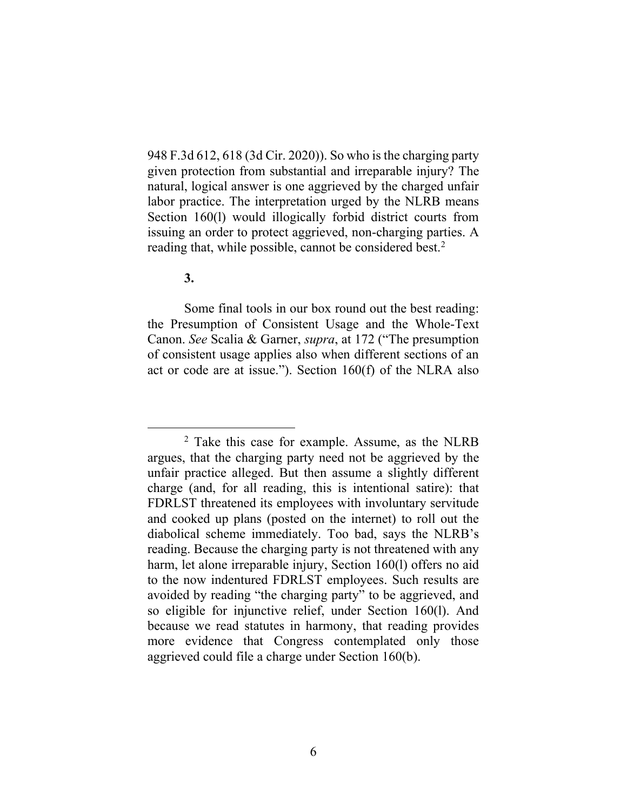948 F.3d 612, 618 (3d Cir. 2020)). So who is the charging party given protection from substantial and irreparable injury? The natural, logical answer is one aggrieved by the charged unfair labor practice. The interpretation urged by the NLRB means Section 160(l) would illogically forbid district courts from issuing an order to protect aggrieved, non-charging parties. A reading that, while possible, cannot be considered best.<sup>2</sup>

#### **3.**

Some final tools in our box round out the best reading: the Presumption of Consistent Usage and the Whole-Text Canon. *See* Scalia & Garner, *supra*, at 172 ("The presumption of consistent usage applies also when different sections of an act or code are at issue."). Section 160(f) of the NLRA also

<sup>2</sup> Take this case for example. Assume, as the NLRB argues, that the charging party need not be aggrieved by the unfair practice alleged. But then assume a slightly different charge (and, for all reading, this is intentional satire): that FDRLST threatened its employees with involuntary servitude and cooked up plans (posted on the internet) to roll out the diabolical scheme immediately. Too bad, says the NLRB's reading. Because the charging party is not threatened with any harm, let alone irreparable injury, Section 160(l) offers no aid to the now indentured FDRLST employees. Such results are avoided by reading "the charging party" to be aggrieved, and so eligible for injunctive relief, under Section 160(l). And because we read statutes in harmony, that reading provides more evidence that Congress contemplated only those aggrieved could file a charge under Section 160(b).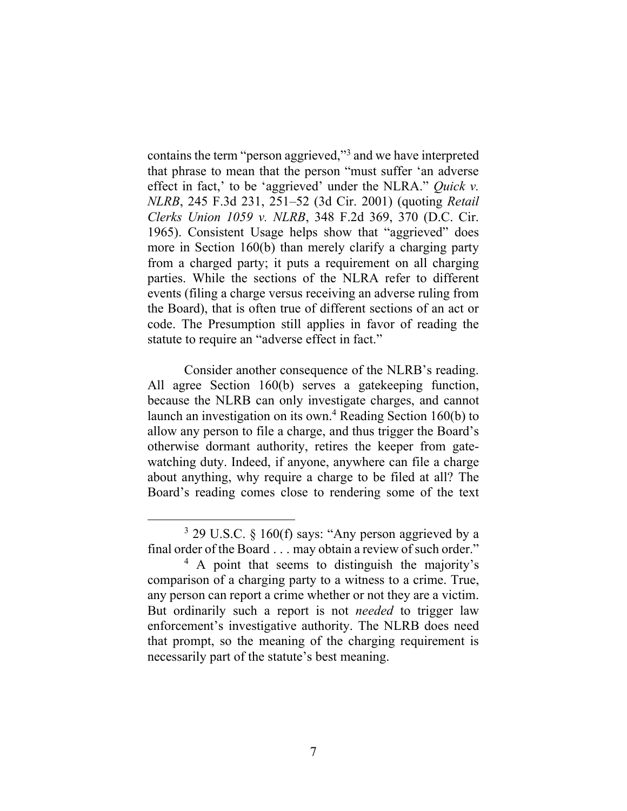contains the term "person aggrieved,"<sup>3</sup> and we have interpreted that phrase to mean that the person "must suffer 'an adverse effect in fact,' to be 'aggrieved' under the NLRA." *Quick v. NLRB*, 245 F.3d 231, 251–52 (3d Cir. 2001) (quoting *Retail Clerks Union 1059 v. NLRB*, 348 F.2d 369, 370 (D.C. Cir. 1965). Consistent Usage helps show that "aggrieved" does more in Section 160(b) than merely clarify a charging party from a charged party; it puts a requirement on all charging parties. While the sections of the NLRA refer to different events (filing a charge versus receiving an adverse ruling from the Board), that is often true of different sections of an act or code. The Presumption still applies in favor of reading the statute to require an "adverse effect in fact."

Consider another consequence of the NLRB's reading. All agree Section 160(b) serves a gatekeeping function, because the NLRB can only investigate charges, and cannot launch an investigation on its own.<sup>4</sup> Reading Section 160(b) to allow any person to file a charge, and thus trigger the Board's otherwise dormant authority, retires the keeper from gatewatching duty. Indeed, if anyone, anywhere can file a charge about anything, why require a charge to be filed at all? The Board's reading comes close to rendering some of the text

 $3$  29 U.S.C. § 160(f) says: "Any person aggrieved by a final order of the Board . . . may obtain a review of such order."

<sup>&</sup>lt;sup>4</sup> A point that seems to distinguish the majority's comparison of a charging party to a witness to a crime. True, any person can report a crime whether or not they are a victim. But ordinarily such a report is not *needed* to trigger law enforcement's investigative authority. The NLRB does need that prompt, so the meaning of the charging requirement is necessarily part of the statute's best meaning.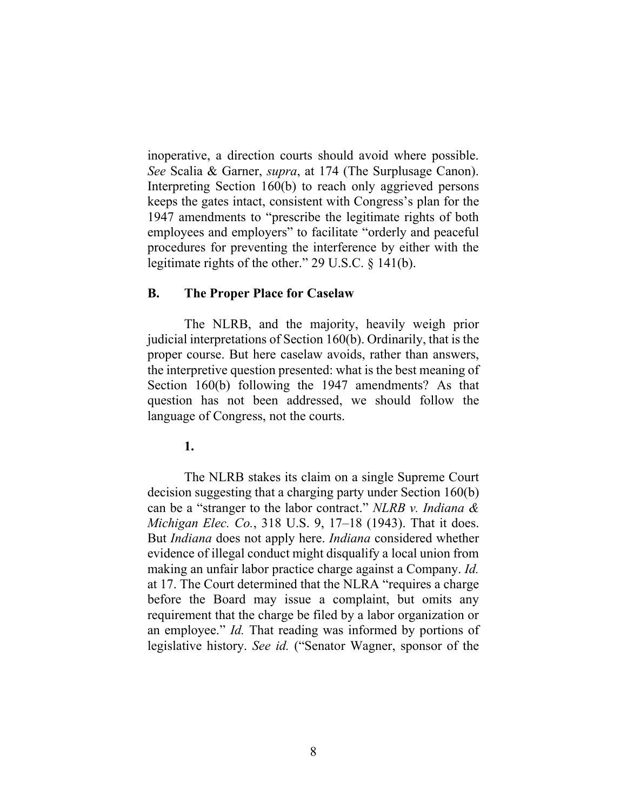inoperative, a direction courts should avoid where possible. *See* Scalia & Garner, *supra*, at 174 (The Surplusage Canon). Interpreting Section 160(b) to reach only aggrieved persons keeps the gates intact, consistent with Congress's plan for the 1947 amendments to "prescribe the legitimate rights of both employees and employers" to facilitate "orderly and peaceful procedures for preventing the interference by either with the legitimate rights of the other." 29 U.S.C. § 141(b).

#### **B. The Proper Place for Caselaw**

The NLRB, and the majority, heavily weigh prior judicial interpretations of Section 160(b). Ordinarily, that is the proper course. But here caselaw avoids, rather than answers, the interpretive question presented: what is the best meaning of Section 160(b) following the 1947 amendments? As that question has not been addressed, we should follow the language of Congress, not the courts.

**1.**

The NLRB stakes its claim on a single Supreme Court decision suggesting that a charging party under Section 160(b) can be a "stranger to the labor contract." *NLRB v. Indiana & Michigan Elec. Co.*, 318 U.S. 9, 17–18 (1943). That it does. But *Indiana* does not apply here. *Indiana* considered whether evidence of illegal conduct might disqualify a local union from making an unfair labor practice charge against a Company. *Id.*  at 17. The Court determined that the NLRA "requires a charge before the Board may issue a complaint, but omits any requirement that the charge be filed by a labor organization or an employee." *Id.* That reading was informed by portions of legislative history. *See id.* ("Senator Wagner, sponsor of the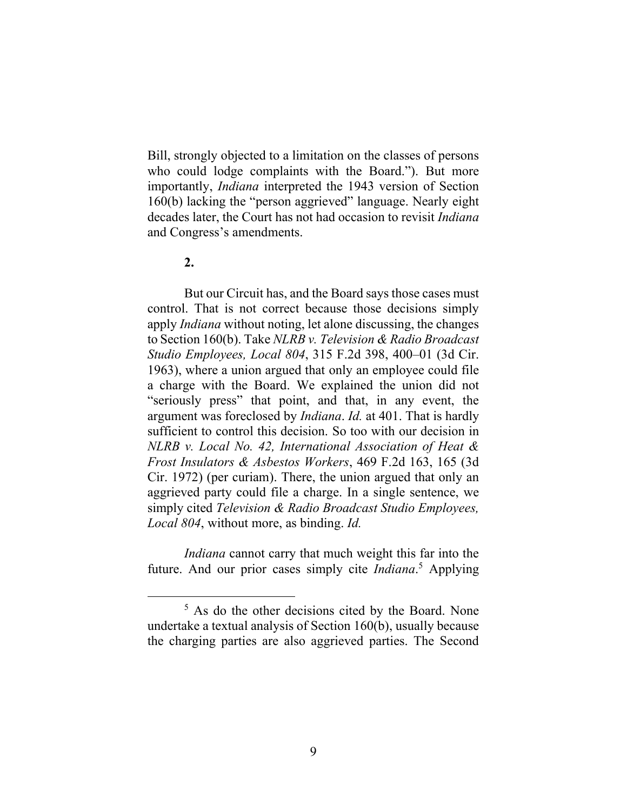Bill, strongly objected to a limitation on the classes of persons who could lodge complaints with the Board."). But more importantly, *Indiana* interpreted the 1943 version of Section 160(b) lacking the "person aggrieved" language. Nearly eight decades later, the Court has not had occasion to revisit *Indiana*  and Congress's amendments.

#### **2.**

But our Circuit has, and the Board says those cases must control. That is not correct because those decisions simply apply *Indiana* without noting, let alone discussing, the changes to Section 160(b). Take *NLRB v. Television & Radio Broadcast Studio Employees, Local 804*, 315 F.2d 398, 400–01 (3d Cir. 1963), where a union argued that only an employee could file a charge with the Board. We explained the union did not "seriously press" that point, and that, in any event, the argument was foreclosed by *Indiana*. *Id.* at 401. That is hardly sufficient to control this decision. So too with our decision in *NLRB v. Local No. 42, International Association of Heat & Frost Insulators & Asbestos Workers*, 469 F.2d 163, 165 (3d Cir. 1972) (per curiam). There, the union argued that only an aggrieved party could file a charge. In a single sentence, we simply cited *Television & Radio Broadcast Studio Employees, Local 804*, without more, as binding. *Id.* 

*Indiana* cannot carry that much weight this far into the future. And our prior cases simply cite *Indiana*. <sup>5</sup> Applying

<sup>5</sup> As do the other decisions cited by the Board. None undertake a textual analysis of Section 160(b), usually because the charging parties are also aggrieved parties. The Second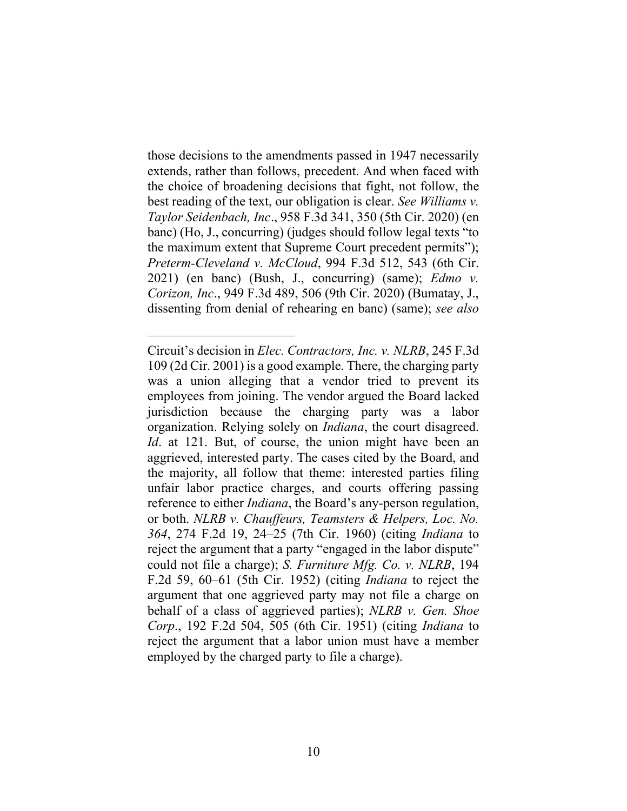those decisions to the amendments passed in 1947 necessarily extends, rather than follows, precedent. And when faced with the choice of broadening decisions that fight, not follow, the best reading of the text, our obligation is clear. *See Williams v. Taylor Seidenbach, Inc*., 958 F.3d 341, 350 (5th Cir. 2020) (en banc) (Ho, J., concurring) (judges should follow legal texts "to the maximum extent that Supreme Court precedent permits"); *Preterm-Cleveland v. McCloud*, 994 F.3d 512, 543 (6th Cir. 2021) (en banc) (Bush, J., concurring) (same); *Edmo v. Corizon, Inc*., 949 F.3d 489, 506 (9th Cir. 2020) (Bumatay, J., dissenting from denial of rehearing en banc) (same); *see also* 

Circuit's decision in *Elec. Contractors, Inc. v. NLRB*, 245 F.3d 109 (2d Cir. 2001) is a good example. There, the charging party was a union alleging that a vendor tried to prevent its employees from joining. The vendor argued the Board lacked jurisdiction because the charging party was a labor organization. Relying solely on *Indiana*, the court disagreed. *Id*. at 121. But, of course, the union might have been an aggrieved, interested party. The cases cited by the Board, and the majority, all follow that theme: interested parties filing unfair labor practice charges, and courts offering passing reference to either *Indiana*, the Board's any-person regulation, or both. *NLRB v. Chauffeurs, Teamsters & Helpers, Loc. No. 364*, 274 F.2d 19, 24–25 (7th Cir. 1960) (citing *Indiana* to reject the argument that a party "engaged in the labor dispute" could not file a charge); *S. Furniture Mfg. Co. v. NLRB*, 194 F.2d 59, 60–61 (5th Cir. 1952) (citing *Indiana* to reject the argument that one aggrieved party may not file a charge on behalf of a class of aggrieved parties); *NLRB v. Gen. Shoe Corp*., 192 F.2d 504, 505 (6th Cir. 1951) (citing *Indiana* to reject the argument that a labor union must have a member employed by the charged party to file a charge).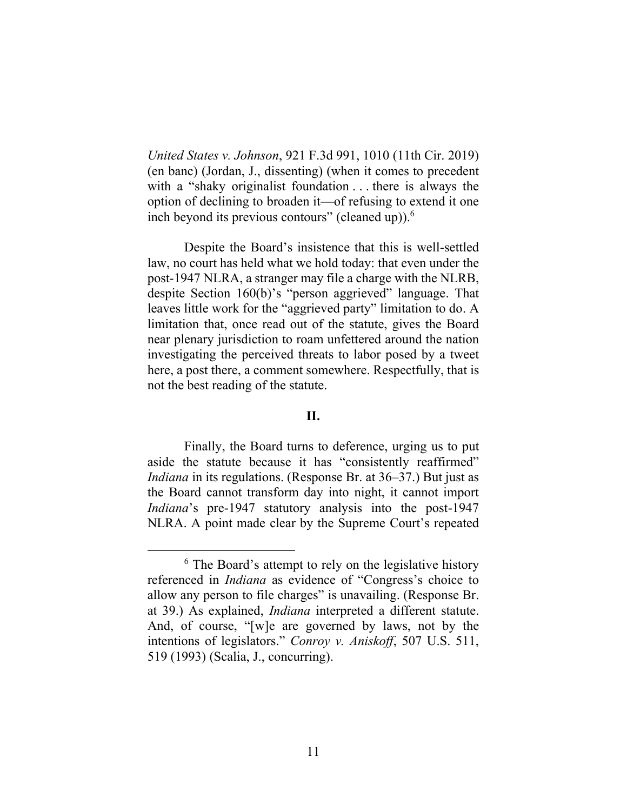*United States v. Johnson*, 921 F.3d 991, 1010 (11th Cir. 2019) (en banc) (Jordan, J., dissenting) (when it comes to precedent with a "shaky originalist foundation . . . there is always the option of declining to broaden it—of refusing to extend it one inch beyond its previous contours" (cleaned up)). $<sup>6</sup>$ </sup>

Despite the Board's insistence that this is well-settled law, no court has held what we hold today: that even under the post-1947 NLRA, a stranger may file a charge with the NLRB, despite Section 160(b)'s "person aggrieved" language. That leaves little work for the "aggrieved party" limitation to do. A limitation that, once read out of the statute, gives the Board near plenary jurisdiction to roam unfettered around the nation investigating the perceived threats to labor posed by a tweet here, a post there, a comment somewhere. Respectfully, that is not the best reading of the statute.

### **II.**

Finally, the Board turns to deference, urging us to put aside the statute because it has "consistently reaffirmed" *Indiana* in its regulations. (Response Br. at 36–37.) But just as the Board cannot transform day into night, it cannot import *Indiana*'s pre-1947 statutory analysis into the post-1947 NLRA. A point made clear by the Supreme Court's repeated

 $6$  The Board's attempt to rely on the legislative history referenced in *Indiana* as evidence of "Congress's choice to allow any person to file charges" is unavailing. (Response Br. at 39.) As explained, *Indiana* interpreted a different statute. And, of course, "[w]e are governed by laws, not by the intentions of legislators." *Conroy v. Aniskoff*, 507 U.S. 511, 519 (1993) (Scalia, J., concurring).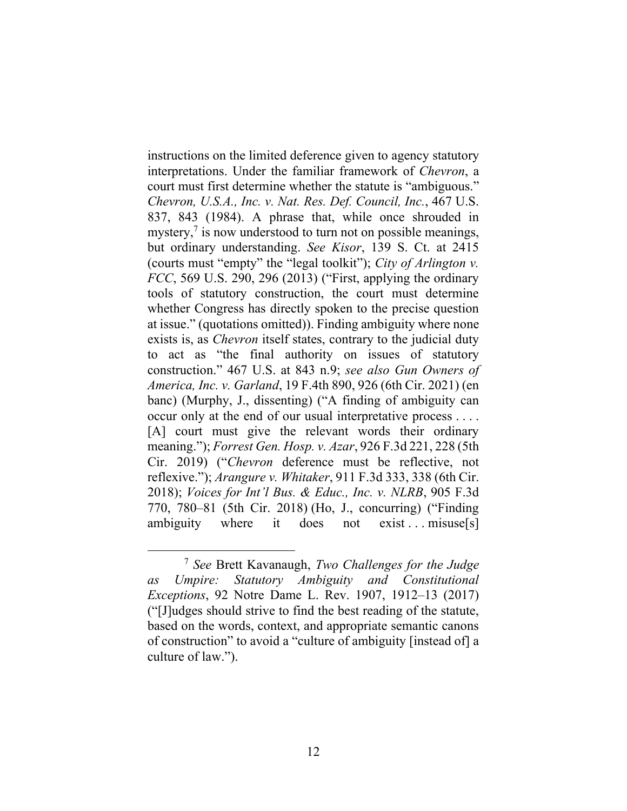instructions on the limited deference given to agency statutory interpretations. Under the familiar framework of *Chevron*, a court must first determine whether the statute is "ambiguous." *Chevron, U.S.A., Inc. v. Nat. Res. Def. Council, Inc.*, 467 U.S. 837, 843 (1984). A phrase that, while once shrouded in mystery, $\frac{7}{1}$  is now understood to turn not on possible meanings, but ordinary understanding. *See Kisor*, 139 S. Ct. at 2415 (courts must "empty" the "legal toolkit"); *City of Arlington v. FCC*, 569 U.S. 290, 296 (2013) ("First, applying the ordinary tools of statutory construction, the court must determine whether Congress has directly spoken to the precise question at issue." (quotations omitted)). Finding ambiguity where none exists is, as *Chevron* itself states, contrary to the judicial duty to act as "the final authority on issues of statutory construction." 467 U.S. at 843 n.9; *see also Gun Owners of America, Inc. v. Garland*, 19 F.4th 890, 926 (6th Cir. 2021) (en banc) (Murphy, J., dissenting) ("A finding of ambiguity can occur only at the end of our usual interpretative process . . . . [A] court must give the relevant words their ordinary meaning."); *Forrest Gen. Hosp. v. Azar*, 926 F.3d 221, 228 (5th Cir. 2019) ("*Chevron* deference must be reflective, not reflexive."); *Arangure v. Whitaker*, 911 F.3d 333, 338 (6th Cir. 2018); *Voices for Int'l Bus. & Educ., Inc. v. NLRB*, 905 F.3d 770, 780–81 (5th Cir. 2018) (Ho, J., concurring) ("Finding ambiguity where it does not exist ... misuse[s]

<sup>7</sup> *See* Brett Kavanaugh, *Two Challenges for the Judge as Umpire: Statutory Ambiguity and Constitutional Exceptions*, 92 Notre Dame L. Rev. 1907, 1912–13 (2017) ("[J]udges should strive to find the best reading of the statute, based on the words, context, and appropriate semantic canons of construction" to avoid a "culture of ambiguity [instead of] a culture of law.").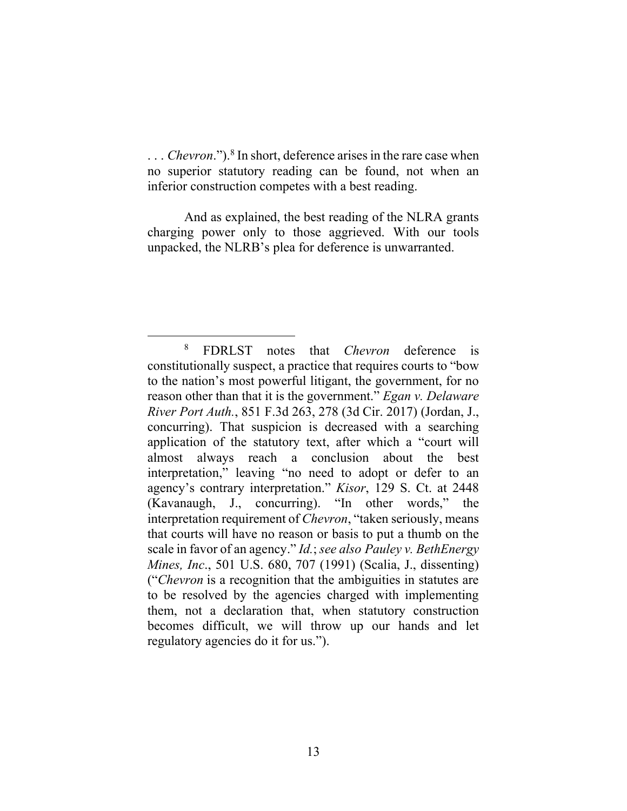. . . *Chevron*."). 8 In short, deference arises in the rare case when no superior statutory reading can be found, not when an inferior construction competes with a best reading.

And as explained, the best reading of the NLRA grants charging power only to those aggrieved. With our tools unpacked, the NLRB's plea for deference is unwarranted.

<sup>8</sup> FDRLST notes that *Chevron* deference is constitutionally suspect, a practice that requires courts to "bow to the nation's most powerful litigant, the government, for no reason other than that it is the government." *Egan v. Delaware River Port Auth.*, 851 F.3d 263, 278 (3d Cir. 2017) (Jordan, J., concurring). That suspicion is decreased with a searching application of the statutory text, after which a "court will almost always reach a conclusion about the best interpretation," leaving "no need to adopt or defer to an agency's contrary interpretation." *Kisor*, 129 S. Ct. at 2448 (Kavanaugh, J., concurring). "In other words," the interpretation requirement of *Chevron*, "taken seriously, means that courts will have no reason or basis to put a thumb on the scale in favor of an agency." *Id.*; *see also Pauley v. BethEnergy Mines, Inc*., 501 U.S. 680, 707 (1991) (Scalia, J., dissenting) ("*Chevron* is a recognition that the ambiguities in statutes are to be resolved by the agencies charged with implementing them, not a declaration that, when statutory construction becomes difficult, we will throw up our hands and let regulatory agencies do it for us.").